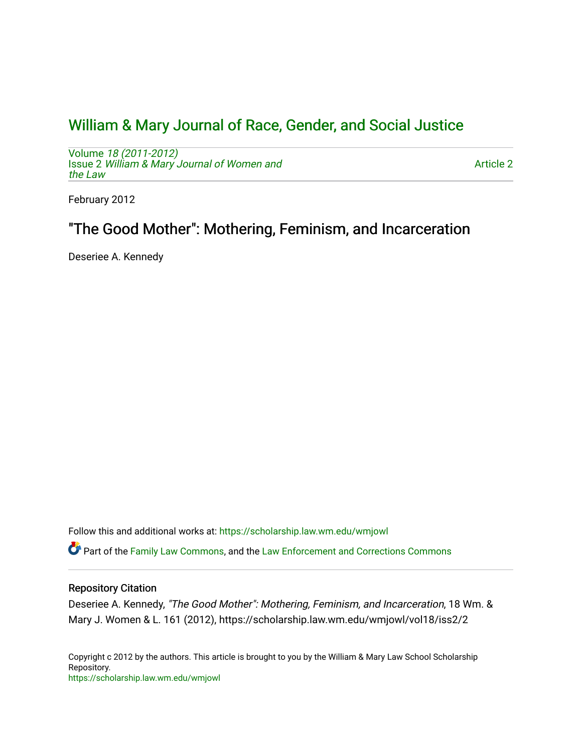# [William & Mary Journal of Race, Gender, and Social Justice](https://scholarship.law.wm.edu/wmjowl)

Volume [18 \(2011-2012\)](https://scholarship.law.wm.edu/wmjowl/vol18)  Issue 2 [William & Mary Journal of Women and](https://scholarship.law.wm.edu/wmjowl/vol18/iss2) [the Law](https://scholarship.law.wm.edu/wmjowl/vol18/iss2)

[Article 2](https://scholarship.law.wm.edu/wmjowl/vol18/iss2/2) 

February 2012

# "The Good Mother": Mothering, Feminism, and Incarceration

Deseriee A. Kennedy

Follow this and additional works at: [https://scholarship.law.wm.edu/wmjowl](https://scholarship.law.wm.edu/wmjowl?utm_source=scholarship.law.wm.edu%2Fwmjowl%2Fvol18%2Fiss2%2F2&utm_medium=PDF&utm_campaign=PDFCoverPages) 

Part of the [Family Law Commons,](http://network.bepress.com/hgg/discipline/602?utm_source=scholarship.law.wm.edu%2Fwmjowl%2Fvol18%2Fiss2%2F2&utm_medium=PDF&utm_campaign=PDFCoverPages) and the [Law Enforcement and Corrections Commons](http://network.bepress.com/hgg/discipline/854?utm_source=scholarship.law.wm.edu%2Fwmjowl%2Fvol18%2Fiss2%2F2&utm_medium=PDF&utm_campaign=PDFCoverPages)

# Repository Citation

Deseriee A. Kennedy, "The Good Mother": Mothering, Feminism, and Incarceration, 18 Wm. & Mary J. Women & L. 161 (2012), https://scholarship.law.wm.edu/wmjowl/vol18/iss2/2

Copyright c 2012 by the authors. This article is brought to you by the William & Mary Law School Scholarship Repository. <https://scholarship.law.wm.edu/wmjowl>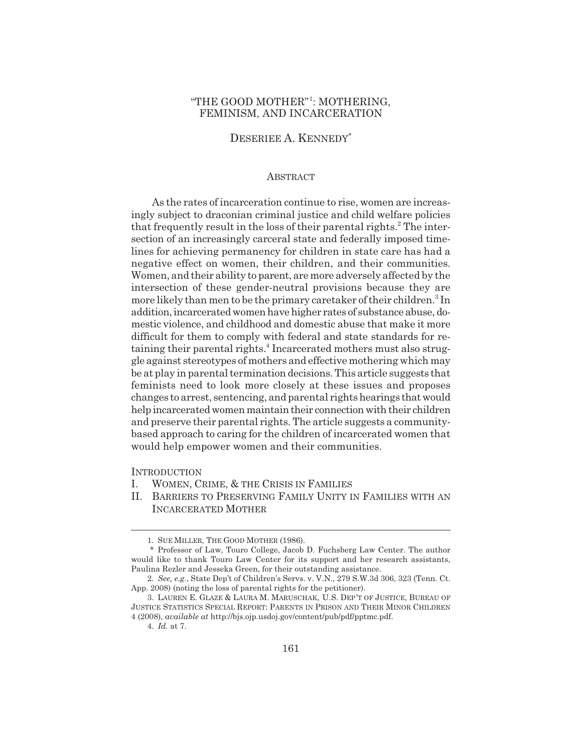## "THE GOOD MOTHER"<sup>1</sup>: MOTHERING, FEMINISM, AND INCARCERATION

## DESERIEE A. KENNEDY\*

## ABSTRACT

As the rates of incarceration continue to rise, women are increasingly subject to draconian criminal justice and child welfare policies that frequently result in the loss of their parental rights.<sup>2</sup> The intersection of an increasingly carceral state and federally imposed timelines for achieving permanency for children in state care has had a negative effect on women, their children, and their communities. Women, and their ability to parent, are more adversely affected by the intersection of these gender-neutral provisions because they are more likely than men to be the primary caretaker of their children.<sup>3</sup> In addition, incarcerated women have higher rates of substance abuse, domestic violence, and childhood and domestic abuse that make it more difficult for them to comply with federal and state standards for retaining their parental rights.<sup>4</sup> Incarcerated mothers must also struggle against stereotypes of mothers and effective mothering which may be at play in parental termination decisions. This article suggests that feminists need to look more closely at these issues and proposes changes to arrest, sentencing, and parental rights hearings that would help incarcerated women maintain their connection with their children and preserve their parental rights. The article suggests a communitybased approach to caring for the children of incarcerated women that would help empower women and their communities.

## **INTRODUCTION**

- I. WOMEN, CRIME, & THE CRISIS IN FAMILIES
- II. BARRIERS TO PRESERVING FAMILY UNITY IN FAMILIES WITH AN INCARCERATED MOTHER

<sup>1.</sup> SUE MILLER, THE GOOD MOTHER (1986).

<sup>\*</sup> Professor of Law, Touro College, Jacob D. Fuchsberg Law Center. The author would like to thank Touro Law Center for its support and her research assistants, Paulina Rezler and Jesseka Green, for their outstanding assistance.

<sup>2.</sup> *See, e.g.*, State Dep't of Children's Servs. v. V.N., 279 S.W.3d 306, 323 (Tenn. Ct. App. 2008) (noting the loss of parental rights for the petitioner).

<sup>3.</sup> LAUREN E. GLAZE & LAURA M. MARUSCHAK, U.S. DEP'T OF JUSTICE, BUREAU OF JUSTICE STATISTICS SPECIAL REPORT: PARENTS IN PRISON AND THEIR MINOR CHILDREN 4 (2008), *available at* http://bjs.ojp.usdoj.gov/content/pub/pdf/pptmc.pdf.

<sup>4.</sup> *Id.* at 7.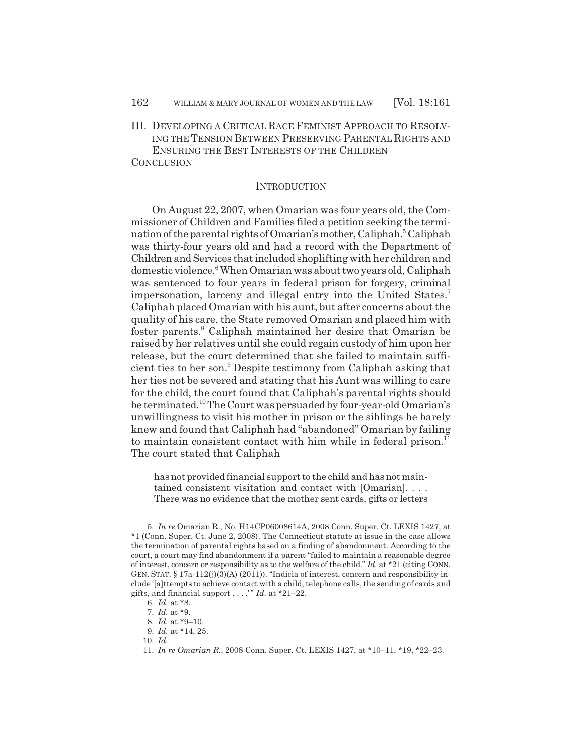III. DEVELOPING A CRITICAL RACE FEMINIST APPROACH TO RESOLV-ING THE TENSION BETWEEN PRESERVING PARENTAL RIGHTS AND ENSURING THE BEST INTERESTS OF THE CHILDREN

**CONCLUSION** 

## **INTRODUCTION**

On August 22, 2007, when Omarian was four years old, the Commissioner of Children and Families filed a petition seeking the termination of the parental rights of Omarian's mother, Caliphah.<sup>5</sup> Caliphah was thirty-four years old and had a record with the Department of Children and Services that included shoplifting with her children and domestic violence.<sup>6</sup> When Omarian was about two years old, Caliphah was sentenced to four years in federal prison for forgery, criminal impersonation, larceny and illegal entry into the United States.<sup>7</sup> Caliphah placed Omarian with his aunt, but after concerns about the quality of his care, the State removed Omarian and placed him with foster parents.<sup>8</sup> Caliphah maintained her desire that Omarian be raised by her relatives until she could regain custody of him upon her release, but the court determined that she failed to maintain sufficient ties to her son.<sup>9</sup> Despite testimony from Caliphah asking that her ties not be severed and stating that his Aunt was willing to care for the child, the court found that Caliphah's parental rights should be terminated.10 The Court was persuaded by four-year-old Omarian's unwillingness to visit his mother in prison or the siblings he barely knew and found that Caliphah had "abandoned" Omarian by failing to maintain consistent contact with him while in federal prison.<sup>11</sup> The court stated that Caliphah

has not provided financial support to the child and has not maintained consistent visitation and contact with [Omarian]. . . . There was no evidence that the mother sent cards, gifts or letters

10. *Id.*

<sup>5.</sup> *In re* Omarian R., No. H14CP06008614A, 2008 Conn. Super. Ct. LEXIS 1427, at \*1 (Conn. Super. Ct. June 2, 2008). The Connecticut statute at issue in the case allows the termination of parental rights based on a finding of abandonment. According to the court, a court may find abandonment if a parent "failed to maintain a reasonable degree of interest, concern or responsibility as to the welfare of the child." *Id.* at \*21 (citing CONN. GEN. STAT.  $\S 17a-112(j)(3)(A) (2011)$ . "Indicia of interest, concern and responsibility include '[a]ttempts to achieve contact with a child, telephone calls, the sending of cards and gifts, and financial support  $\dots$ ." *Id.* at \*21–22.

<sup>6.</sup> *Id.* at \*8.

<sup>7.</sup> *Id.* at \*9.

<sup>8.</sup> *Id.* at \*9–10.

<sup>9.</sup> *Id.* at \*14, 25.

<sup>11.</sup> *In re Omarian R.*, 2008 Conn. Super. Ct. LEXIS 1427, at \*10–11, \*19, \*22–23.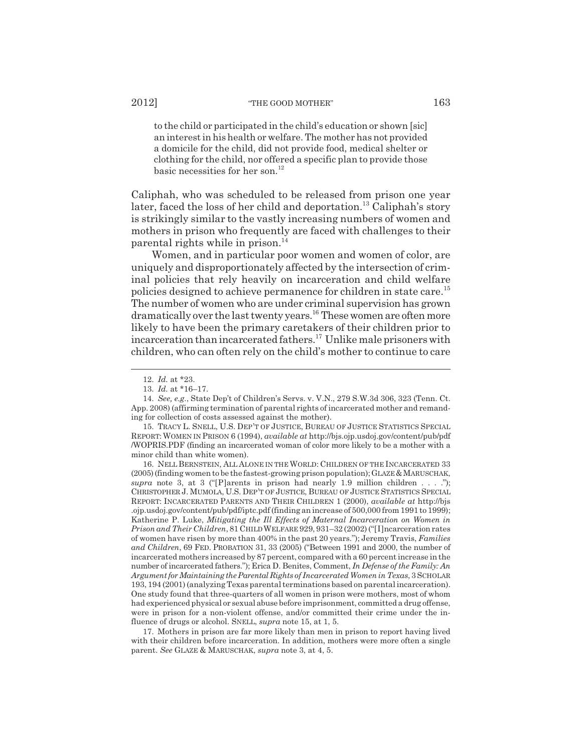to the child or participated in the child's education or shown [sic] an interest in his health or welfare. The mother has not provided a domicile for the child, did not provide food, medical shelter or clothing for the child, nor offered a specific plan to provide those basic necessities for her son. $^{12}$ 

Caliphah, who was scheduled to be released from prison one year later, faced the loss of her child and deportation.<sup>13</sup> Caliphah's story is strikingly similar to the vastly increasing numbers of women and mothers in prison who frequently are faced with challenges to their parental rights while in prison. $^{14}$ 

Women, and in particular poor women and women of color, are uniquely and disproportionately affected by the intersection of criminal policies that rely heavily on incarceration and child welfare policies designed to achieve permanence for children in state care.<sup>15</sup> The number of women who are under criminal supervision has grown dramatically over the last twenty years.<sup>16</sup> These women are often more likely to have been the primary caretakers of their children prior to incarceration than incarcerated fathers.<sup>17</sup> Unlike male prisoners with children, who can often rely on the child's mother to continue to care

16. NELL BERNSTEIN, ALL ALONE IN THE WORLD: CHILDREN OF THE INCARCERATED 33 (2005) (finding women to be the fastest-growing prison population); GLAZE &MARUSCHAK, *supra* note 3, at 3 ("[P]arents in prison had nearly 1.9 million children  $\dots$  ."); CHRISTOPHER J. MUMOLA, U.S. DEP'T OF JUSTICE, BUREAU OF JUSTICE STATISTICS SPECIAL REPORT: INCARCERATED PARENTS AND THEIR CHILDREN 1 (2000), *available at* http://bjs .ojp.usdoj.gov/content/pub/pdf/iptc.pdf (finding an increase of 500,000 from 1991 to 1999); Katherine P. Luke, *Mitigating the Ill Effects of Maternal Incarceration on Women in Prison and Their Children*, 81 CHILD WELFARE 929, 931–32 (2002) ("[I]ncarceration rates of women have risen by more than 400% in the past 20 years."); Jeremy Travis, *Families and Children*, 69 FED. PROBATION 31, 33 (2005) ("Between 1991 and 2000, the number of incarcerated mothers increased by 87 percent, compared with a 60 percent increase in the number of incarcerated fathers."); Erica D. Benites, Comment, *In Defense of the Family: An Argument for Maintaining the Parental Rights of Incarcerated Women in Texas*, 3 SCHOLAR 193, 194 (2001) (analyzing Texas parental terminations based on parental incarceration). One study found that three-quarters of all women in prison were mothers, most of whom had experienced physical or sexual abuse before imprisonment, committed a drug offense, were in prison for a non-violent offense, and/or committed their crime under the influence of drugs or alcohol. SNELL, *supra* note 15, at 1, 5.

17. Mothers in prison are far more likely than men in prison to report having lived with their children before incarceration. In addition, mothers were more often a single parent. *See* GLAZE & MARUSCHAK, *supra* note 3, at 4, 5.

<sup>12.</sup> *Id.* at \*23.

<sup>13.</sup> *Id.* at \*16–17.

<sup>14.</sup> *See, e.g.*, State Dep't of Children's Servs. v. V.N., 279 S.W.3d 306, 323 (Tenn. Ct. App. 2008) (affirming termination of parental rights of incarcerated mother and remanding for collection of costs assessed against the mother).

<sup>15.</sup> TRACY L. SNELL, U.S. DEP'T OF JUSTICE, BUREAU OF JUSTICE STATISTICS SPECIAL REPORT: WOMEN IN PRISON 6 (1994), *available at* http://bjs.ojp.usdoj.gov/content/pub/pdf /WOPRIS.PDF (finding an incarcerated woman of color more likely to be a mother with a minor child than white women).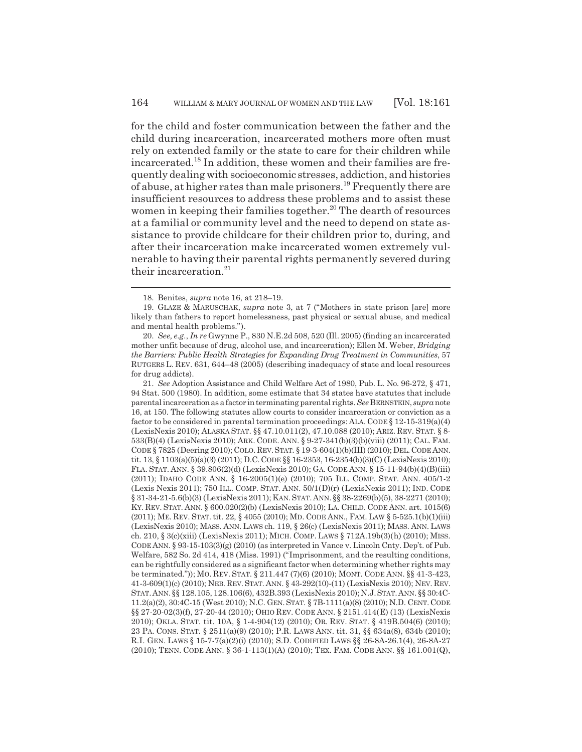for the child and foster communication between the father and the child during incarceration, incarcerated mothers more often must rely on extended family or the state to care for their children while incarcerated.18 In addition, these women and their families are frequently dealing with socioeconomic stresses, addiction, and histories of abuse, at higher rates than male prisoners.19 Frequently there are insufficient resources to address these problems and to assist these women in keeping their families together.<sup>20</sup> The dearth of resources at a familial or community level and the need to depend on state assistance to provide childcare for their children prior to, during, and after their incarceration make incarcerated women extremely vulnerable to having their parental rights permanently severed during their incarceration. $21$ 

21. *See* Adoption Assistance and Child Welfare Act of 1980, Pub. L. No. 96-272, § 471, 94 Stat. 500 (1980). In addition, some estimate that 34 states have statutes that include parental incarceration as a factor in terminating parental rights. *See* BERNSTEIN, *supra* note 16, at 150. The following statutes allow courts to consider incarceration or conviction as a factor to be considered in parental termination proceedings: ALA. CODE  $\S 12{\text -}15{\text -}319(a)(4)$ (LexisNexis 2010); ALASKA STAT. §§ 47.10.011(2), 47.10.088 (2010); ARIZ. REV. STAT. § 8- 533(B)(4) (LexisNexis 2010); ARK. CODE. ANN. § 9-27-341(b)(3)(b)(viii) (2011); CAL. FAM. CODE § 7825 (Deering 2010); COLO.REV.STAT. § 19-3-604(1)(b)(III) (2010); DEL.CODE ANN. tit. 13, § 1103(a)(5)(a)(3) (2011); D.C. CODE §§ 16-2353, 16-2354(b)(3)(C) (LexisNexis 2010); FLA. STAT. ANN. § 39.806(2)(d) (LexisNexis 2010); GA. CODE ANN. § 15-11-94(b)(4)(B)(iii) (2011); IDAHO CODE ANN. § 16-2005(1)(e) (2010); 705 ILL. COMP. STAT. ANN. 405/1-2 (Lexis Nexis 2011); 750 ILL. COMP. STAT. ANN. 50/1(D)(r) (LexisNexis 2011); IND. CODE § 31-34-21-5.6(b)(3) (LexisNexis 2011); KAN.STAT.ANN. §§ 38-2269(b)(5), 38-2271 (2010); KY. REV. STAT. ANN. § 600.020(2)(b) (LexisNexis 2010); LA. CHILD. CODE ANN. art. 1015(6) (2011); ME. REV. STAT.tit. 22, § 4055 (2010); MD. CODE ANN., FAM. LAW § 5-525.1(b)(1)(iii) (LexisNexis 2010); MASS. ANN. LAWS ch. 119, § 26(c) (LexisNexis 2011); MASS. ANN. LAWS ch. 210, § 3(c)(xiii) (LexisNexis 2011); MICH. COMP. LAWS § 712A.19b(3)(h) (2010); MISS. CODE ANN. § 93-15-103(3)(g) (2010) (as interpreted in Vance v. Lincoln Cnty. Dep't. of Pub. Welfare, 582 So. 2d 414, 418 (Miss. 1991) ("Imprisonment, and the resulting conditions, can be rightfully considered as a significant factor when determining whether rights may be terminated.")); MO. REV. STAT. § 211.447 (7)(6) (2010); MONT. CODE ANN. §§ 41-3-423, 41-3-609(1)(c) (2010); NEB. REV.STAT. ANN. § 43-292(10)-(11) (LexisNexis 2010); NEV. REV. STAT.ANN.§§ 128.105, 128.106(6), 432B.393 (LexisNexis 2010); N.J.STAT.ANN. §§ 30:4C-11.2(a)(2), 30:4C-15 (West 2010); N.C. GEN.STAT. § 7B-1111(a)(8) (2010); N.D. CENT. CODE §§ 27-20-02(3)(f), 27-20-44 (2010); OHIO REV. CODE ANN. § 2151.414(E) (13) (LexisNexis 2010); OKLA. STAT. tit. 10A, § 1-4-904(12) (2010); OR. REV. STAT. § 419B.504(6) (2010); 23 PA. CONS. STAT. § 2511(a)(9) (2010); P.R. LAWS ANN. tit. 31, §§ 634a(8), 634b (2010); R.I. GEN. LAWS § 15-7-7(a)(2)(i) (2010); S.D. CODIFIED LAWS §§ 26-8A-26.1(4), 26-8A-27 (2010); TENN. CODE ANN. § 36-1-113(1)(A) (2010); TEX. FAM. CODE ANN. §§ 161.001(Q),

<sup>18.</sup> Benites, *supra* note 16, at 218–19.

<sup>19.</sup> GLAZE & MARUSCHAK, *supra* note 3, at 7 ("Mothers in state prison [are] more likely than fathers to report homelessness, past physical or sexual abuse, and medical and mental health problems.").

<sup>20.</sup> *See, e.g.*, *In re* Gwynne P., 830 N.E.2d 508, 520 (Ill. 2005) (finding an incarcerated mother unfit because of drug, alcohol use, and incarceration); Ellen M. Weber, *Bridging the Barriers: Public Health Strategies for Expanding Drug Treatment in Communities*, 57 RUTGERS L. REV. 631, 644–48 (2005) (describing inadequacy of state and local resources for drug addicts).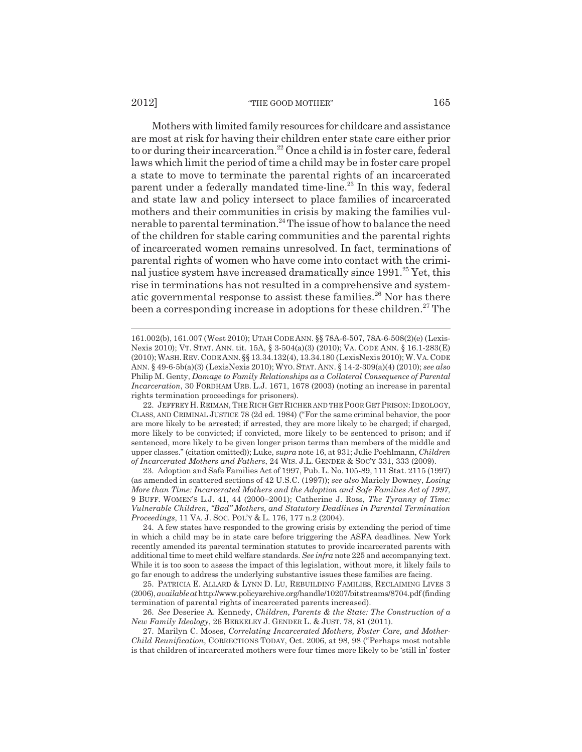Mothers with limited family resources for childcare and assistance are most at risk for having their children enter state care either prior to or during their incarceration.<sup>22</sup> Once a child is in foster care, federal laws which limit the period of time a child may be in foster care propel a state to move to terminate the parental rights of an incarcerated parent under a federally mandated time-line.<sup>23</sup> In this way, federal and state law and policy intersect to place families of incarcerated mothers and their communities in crisis by making the families vulnerable to parental termination.<sup>24</sup> The issue of how to balance the need of the children for stable caring communities and the parental rights of incarcerated women remains unresolved. In fact, terminations of parental rights of women who have come into contact with the criminal justice system have increased dramatically since  $1991.<sup>25</sup>$  Yet, this rise in terminations has not resulted in a comprehensive and systematic governmental response to assist these families.<sup>26</sup> Nor has there been a corresponding increase in adoptions for these children.<sup>27</sup> The

22. JEFFREY H.REIMAN, THE RICH GET RICHER AND THE POOR GET PRISON: IDEOLOGY, CLASS, AND CRIMINAL JUSTICE 78 (2d ed. 1984) ("For the same criminal behavior, the poor are more likely to be arrested; if arrested, they are more likely to be charged; if charged, more likely to be convicted; if convicted, more likely to be sentenced to prison; and if sentenced, more likely to be given longer prison terms than members of the middle and upper classes." (citation omitted)); Luke, *supra* note 16, at 931; Julie Poehlmann, *Children of Incarcerated Mothers and Fathers*, 24 WIS. J.L. GENDER & SOC'Y 331, 333 (2009).

23. Adoption and Safe Families Act of 1997, Pub. L. No. 105-89, 111 Stat. 2115 (1997) (as amended in scattered sections of 42 U.S.C. (1997)); *see also* Mariely Downey, *Losing More than Time: Incarcerated Mothers and the Adoption and Safe Families Act of 1997*, 9 BUFF. WOMEN'S L.J. 41, 44 (2000–2001); Catherine J. Ross, *The Tyranny of Time: Vulnerable Children, "Bad" Mothers, and Statutory Deadlines in Parental Termination Proceedings*, 11 VA. J. SOC. POL'Y & L. 176, 177 n.2 (2004).

24. A few states have responded to the growing crisis by extending the period of time in which a child may be in state care before triggering the ASFA deadlines. New York recently amended its parental termination statutes to provide incarcerated parents with additional time to meet child welfare standards. *See infra* note 225 and accompanying text. While it is too soon to assess the impact of this legislation, without more, it likely fails to go far enough to address the underlying substantive issues these families are facing.

25. PATRICIA E. ALLARD & LYNN D. LU, REBUILDING FAMILIES, RECLAIMING LIVES 3 (2006), *available at* http://www.policyarchive.org/handle/10207/bitstreams/8704.pdf (finding termination of parental rights of incarcerated parents increased).

26. *See* Deseriee A. Kennedy, *Children, Parents & the State: The Construction of a New Family Ideology*, 26 BERKELEY J. GENDER L. & JUST. 78, 81 (2011).

27. Marilyn C. Moses, *Correlating Incarcerated Mothers, Foster Care, and Mother-Child Reunification*, CORRECTIONS TODAY, Oct. 2006, at 98, 98 ("Perhaps most notable is that children of incarcerated mothers were four times more likely to be 'still in' foster

<sup>161.002(</sup>b), 161.007 (West 2010); UTAH CODE ANN. §§ 78A-6-507, 78A-6-508(2)(e) (Lexis-Nexis 2010); VT. STAT. ANN. tit. 15A, § 3-504(a)(3) (2010); VA. CODE ANN. § 16.1-283(E) (2010); WASH.REV.CODE ANN.§§ 13.34.132(4), 13.34.180 (LexisNexis 2010); W.VA.CODE ANN. § 49-6-5b(a)(3) (LexisNexis 2010); WYO.STAT. ANN. § 14-2-309(a)(4) (2010); *see also* Philip M. Genty, *Damage to Family Relationships as a Collateral Consequence of Parental Incarceration*, 30 FORDHAM URB. L.J. 1671, 1678 (2003) (noting an increase in parental rights termination proceedings for prisoners).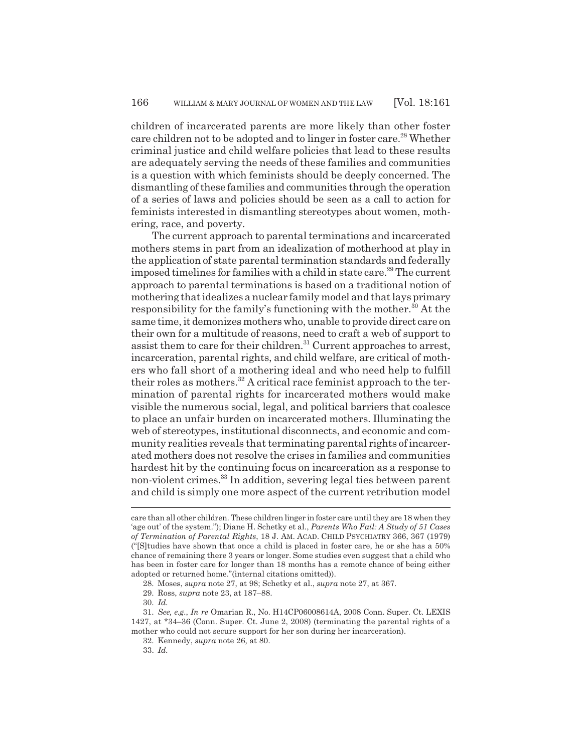children of incarcerated parents are more likely than other foster care children not to be adopted and to linger in foster care.<sup>28</sup> Whether criminal justice and child welfare policies that lead to these results are adequately serving the needs of these families and communities is a question with which feminists should be deeply concerned. The dismantling of these families and communities through the operation of a series of laws and policies should be seen as a call to action for feminists interested in dismantling stereotypes about women, mothering, race, and poverty.

The current approach to parental terminations and incarcerated mothers stems in part from an idealization of motherhood at play in the application of state parental termination standards and federally imposed timelines for families with a child in state care.<sup>29</sup> The current approach to parental terminations is based on a traditional notion of mothering that idealizes a nuclear family model and that lays primary responsibility for the family's functioning with the mother.<sup>30</sup> At the same time, it demonizes mothers who, unable to provide direct care on their own for a multitude of reasons, need to craft a web of support to assist them to care for their children.<sup>31</sup> Current approaches to arrest, incarceration, parental rights, and child welfare, are critical of mothers who fall short of a mothering ideal and who need help to fulfill their roles as mothers.<sup>32</sup> A critical race feminist approach to the termination of parental rights for incarcerated mothers would make visible the numerous social, legal, and political barriers that coalesce to place an unfair burden on incarcerated mothers. Illuminating the web of stereotypes, institutional disconnects, and economic and community realities reveals that terminating parental rights of incarcerated mothers does not resolve the crises in families and communities hardest hit by the continuing focus on incarceration as a response to non-violent crimes.33 In addition, severing legal ties between parent and child is simply one more aspect of the current retribution model

care than all other children. These children linger in foster care until they are 18 when they 'age out' of the system."); Diane H. Schetky et al., *Parents Who Fail: A Study of 51 Cases of Termination of Parental Rights*, 18 J. AM. ACAD. CHILD PSYCHIATRY 366, 367 (1979) ("[S]tudies have shown that once a child is placed in foster care, he or she has a 50% chance of remaining there 3 years or longer. Some studies even suggest that a child who has been in foster care for longer than 18 months has a remote chance of being either adopted or returned home."(internal citations omitted)).

<sup>28.</sup> Moses, *supra* note 27, at 98; Schetky et al., *supra* note 27, at 367.

<sup>29.</sup> Ross, *supra* note 23, at 187–88.

<sup>30.</sup> *Id.*

<sup>31.</sup> *See, e.g.*, *In re* Omarian R., No. H14CP06008614A, 2008 Conn. Super. Ct. LEXIS 1427, at \*34–36 (Conn. Super. Ct. June 2, 2008) (terminating the parental rights of a mother who could not secure support for her son during her incarceration).

<sup>32.</sup> Kennedy, *supra* note 26, at 80.

<sup>33.</sup> *Id.*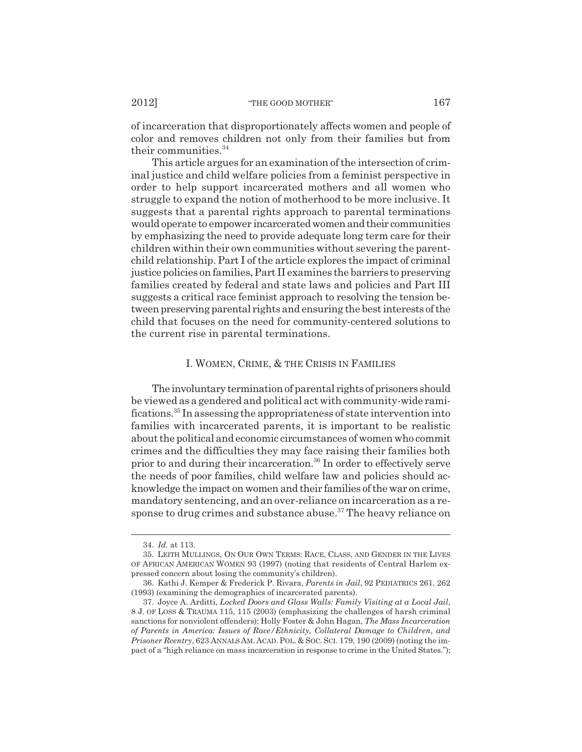of incarceration that disproportionately affects women and people of color and removes children not only from their families but from their communities.<sup>34</sup>

This article argues for an examination of the intersection of criminal justice and child welfare policies from a feminist perspective in order to help support incarcerated mothers and all women who struggle to expand the notion of motherhood to be more inclusive. It suggests that a parental rights approach to parental terminations would operate to empower incarcerated women and their communities by emphasizing the need to provide adequate long term care for their children within their own communities without severing the parentchild relationship. Part I of the article explores the impact of criminal justice policies on families, Part II examines the barriers to preserving families created by federal and state laws and policies and Part III suggests a critical race feminist approach to resolving the tension between preserving parental rights and ensuring the best interests of the child that focuses on the need for community-centered solutions to the current rise in parental terminations.

## I. WOMEN, CRIME, & THE CRISIS IN FAMILIES

The involuntary termination of parental rights of prisoners should be viewed as a gendered and political act with community-wide ramifications.35 In assessing the appropriateness of state intervention into families with incarcerated parents, it is important to be realistic about the political and economic circumstances of women who commit crimes and the difficulties they may face raising their families both prior to and during their incarceration.36 In order to effectively serve the needs of poor families, child welfare law and policies should acknowledge the impact on women and their families of the war on crime, mandatory sentencing, and an over-reliance on incarceration as a response to drug crimes and substance abuse.<sup>37</sup> The heavy reliance on

<sup>34.</sup> *Id.* at 113.

<sup>35.</sup> LEITH MULLINGS, ON OUR OWN TERMS: RACE, CLASS, AND GENDER IN THE LIVES OF AFRICAN AMERICAN WOMEN 93 (1997) (noting that residents of Central Harlem expressed concern about losing the community's children).

<sup>36.</sup> Kathi J. Kemper & Frederick P. Rivara, *Parents in Jail*, 92 PEDIATRICS 261, 262 (1993) (examining the demographics of incarcerated parents).

<sup>37.</sup> Joyce A. Arditti, *Locked Doors and Glass Walls: Family Visiting at a Local Jail*, 8 J. OF LOSS & TRAUMA 115, 115 (2003) (emphasizing the challenges of harsh criminal sanctions for nonviolent offenders); Holly Foster & John Hagan, *The Mass Incarceration of Parents in America: Issues of Race/Ethnicity, Collateral Damage to Children, and Prisoner Reentry*, 623 ANNALS AM. ACAD.POL. & SOC.SCI. 179, 190 (2009) (noting the impact of a "high reliance on mass incarceration in response to crime in the United States.");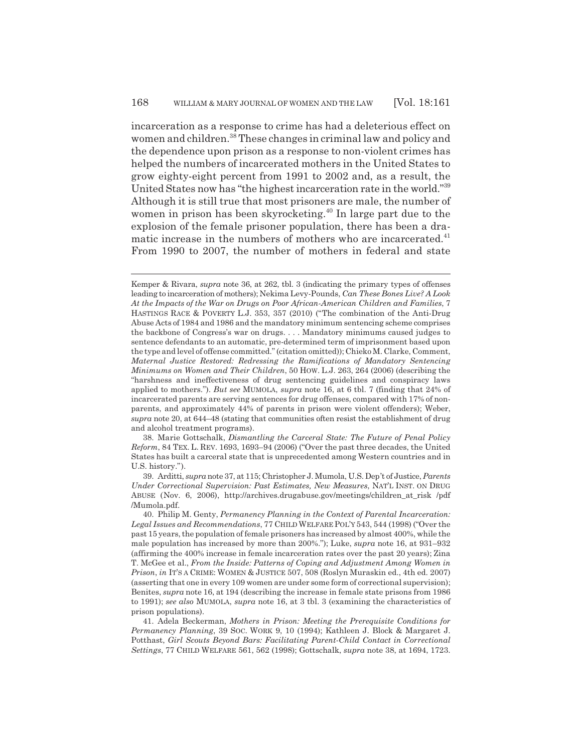incarceration as a response to crime has had a deleterious effect on women and children.<sup>38</sup> These changes in criminal law and policy and the dependence upon prison as a response to non-violent crimes has helped the numbers of incarcerated mothers in the United States to grow eighty-eight percent from 1991 to 2002 and, as a result, the United States now has "the highest incarceration rate in the world."39 Although it is still true that most prisoners are male, the number of women in prison has been skyrocketing.<sup>40</sup> In large part due to the explosion of the female prisoner population, there has been a dramatic increase in the numbers of mothers who are incarcerated.<sup>41</sup> From 1990 to 2007, the number of mothers in federal and state

38. Marie Gottschalk, *Dismantling the Carceral State: The Future of Penal Policy Reform*, 84 TEX. L. REV. 1693, 1693–94 (2006) ("Over the past three decades, the United States has built a carceral state that is unprecedented among Western countries and in U.S. history.").

39. Arditti, *supra* note 37, at 115; Christopher J. Mumola, U.S. Dep't of Justice, *Parents Under Correctional Supervision: Past Estimates, New Measures*, NAT'L INST. ON DRUG ABUSE (Nov. 6, 2006), http://archives.drugabuse.gov/meetings/children\_at\_risk /pdf /Mumola.pdf.

Kemper & Rivara, *supra* note 36, at 262, tbl. 3 (indicating the primary types of offenses leading to incarceration of mothers); Nekima Levy-Pounds, *Can These Bones Live? A Look At the Impacts of the War on Drugs on Poor African-American Children and Families*, 7 HASTINGS RACE & POVERTY L.J. 353, 357 (2010) ("The combination of the Anti-Drug Abuse Acts of 1984 and 1986 and the mandatory minimum sentencing scheme comprises the backbone of Congress's war on drugs. . . . Mandatory minimums caused judges to sentence defendants to an automatic, pre-determined term of imprisonment based upon the type and level of offense committed." (citation omitted)); Chieko M. Clarke, Comment, *Maternal Justice Restored: Redressing the Ramifications of Mandatory Sentencing Minimums on Women and Their Children*, 50 HOW. L.J. 263, 264 (2006) (describing the "harshness and ineffectiveness of drug sentencing guidelines and conspiracy laws applied to mothers."). *But see* MUMOLA, *supra* note 16, at 6 tbl. 7 (finding that 24% of incarcerated parents are serving sentences for drug offenses, compared with 17% of nonparents, and approximately 44% of parents in prison were violent offenders); Weber, *supra* note 20, at 644–48 (stating that communities often resist the establishment of drug and alcohol treatment programs).

<sup>40.</sup> Philip M. Genty, *Permanency Planning in the Context of Parental Incarceration: Legal Issues and Recommendations*, 77 CHILD WELFARE POL'Y 543, 544 (1998) ("Over the past 15 years, the population of female prisoners has increased by almost 400%, while the male population has increased by more than 200%."); Luke, *supra* note 16, at 931–932 (affirming the 400% increase in female incarceration rates over the past 20 years); Zina T. McGee et al., *From the Inside: Patterns of Coping and Adjustment Among Women in Prison*, *in* IT'S A CRIME: WOMEN & JUSTICE 507, 508 (Roslyn Muraskin ed., 4th ed. 2007) (asserting that one in every 109 women are under some form of correctional supervision); Benites, *supra* note 16, at 194 (describing the increase in female state prisons from 1986 to 1991); *see also* MUMOLA, *supra* note 16, at 3 tbl. 3 (examining the characteristics of prison populations).

<sup>41.</sup> Adela Beckerman, *Mothers in Prison: Meeting the Prerequisite Conditions for Permanency Planning*, 39 SOC. WORK 9, 10 (1994); Kathleen J. Block & Margaret J. Potthast, *Girl Scouts Beyond Bars: Facilitating Parent-Child Contact in Correctional Settings*, 77 CHILD WELFARE 561, 562 (1998); Gottschalk, *supra* note 38, at 1694, 1723.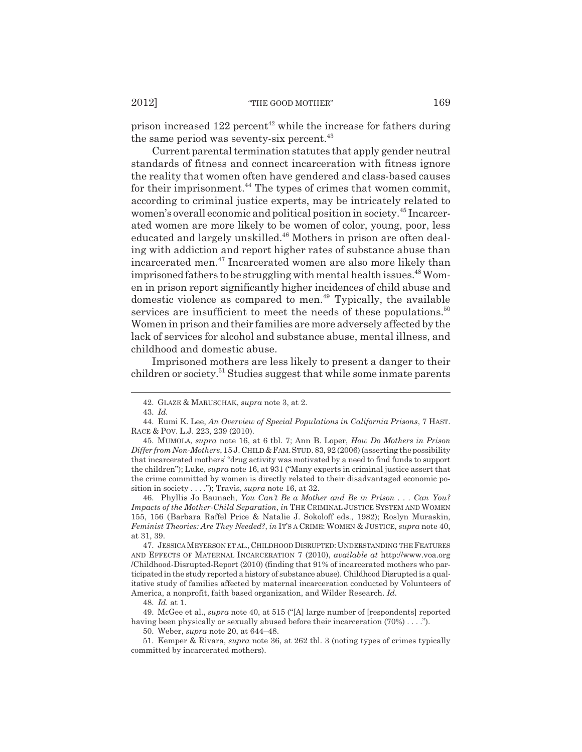prison increased  $122$  percent<sup>42</sup> while the increase for fathers during the same period was seventy-six percent. $43$ 

Current parental termination statutes that apply gender neutral standards of fitness and connect incarceration with fitness ignore the reality that women often have gendered and class-based causes for their imprisonment.<sup>44</sup> The types of crimes that women commit, according to criminal justice experts, may be intricately related to women's overall economic and political position in society.45 Incarcerated women are more likely to be women of color, young, poor, less educated and largely unskilled.<sup>46</sup> Mothers in prison are often dealing with addiction and report higher rates of substance abuse than incarcerated men.47 Incarcerated women are also more likely than imprisoned fathers to be struggling with mental health issues. $48$  Women in prison report significantly higher incidences of child abuse and domestic violence as compared to men.<sup>49</sup> Typically, the available services are insufficient to meet the needs of these populations.<sup>50</sup> Women in prison and their families are more adversely affected by the lack of services for alcohol and substance abuse, mental illness, and childhood and domestic abuse.

Imprisoned mothers are less likely to present a danger to their children or society.<sup>51</sup> Studies suggest that while some inmate parents

46. Phyllis Jo Baunach, *You Can't Be a Mother and Be in Prison . . . Can You? Impacts of the Mother-Child Separation*, *in* THE CRIMINAL JUSTICE SYSTEM AND WOMEN 155, 156 (Barbara Raffel Price & Natalie J. Sokoloff eds., 1982); Roslyn Muraskin, *Feminist Theories: Are They Needed?*, *in* IT'S A CRIME: WOMEN & JUSTICE, *supra* note 40, at 31, 39.

47. JESSICA MEYERSON ET AL.,CHILDHOOD DISRUPTED: UNDERSTANDING THE FEATURES AND EFFECTS OF MATERNAL INCARCERATION 7 (2010), *available at* http://www.voa.org /Childhood-Disrupted-Report (2010) (finding that 91% of incarcerated mothers who participated in the study reported a history of substance abuse). Childhood Disrupted is a qualitative study of families affected by maternal incarceration conducted by Volunteers of America, a nonprofit, faith based organization, and Wilder Research. *Id.*

50. Weber, *supra* note 20, at 644–48.

<sup>42.</sup> GLAZE & MARUSCHAK, *supra* note 3, at 2.

<sup>43.</sup> *Id.*

<sup>44.</sup> Eumi K. Lee, *An Overview of Special Populations in California Prisons*, 7 HAST. RACE & POV. L.J. 223, 239 (2010).

<sup>45.</sup> MUMOLA, *supra* note 16, at 6 tbl. 7; Ann B. Loper, *How Do Mothers in Prison Differ from Non-Mothers*, 15 J. CHILD &FAM.STUD. 83, 92 (2006) (asserting the possibility that incarcerated mothers' "drug activity was motivated by a need to find funds to support the children"); Luke, *supra* note 16, at 931 ("Many experts in criminal justice assert that the crime committed by women is directly related to their disadvantaged economic position in society . . . ."); Travis, *supra* note 16, at 32.

<sup>48.</sup> *Id.* at 1.

<sup>49.</sup> McGee et al., *supra* note 40, at 515 ("[A] large number of [respondents] reported having been physically or sexually abused before their incarceration (70%) . . . .").

<sup>51.</sup> Kemper & Rivara, *supra* note 36, at 262 tbl. 3 (noting types of crimes typically committed by incarcerated mothers).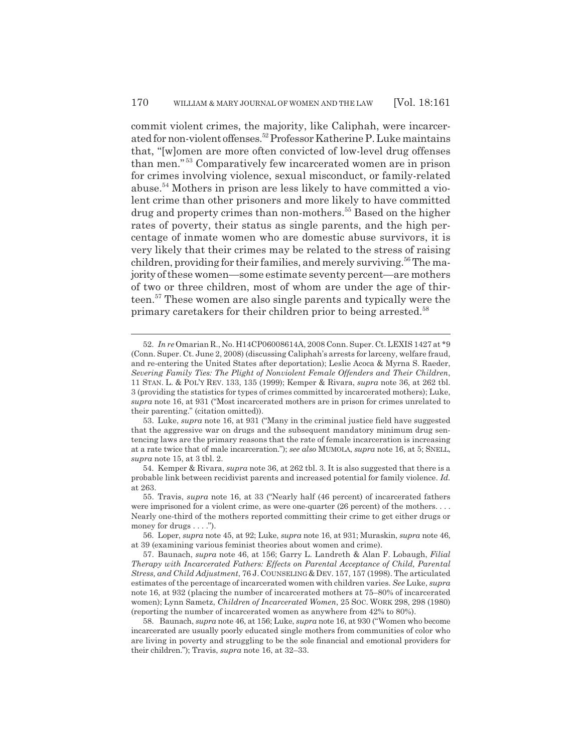commit violent crimes, the majority, like Caliphah, were incarcerated for non-violent offenses.52 Professor Katherine P. Luke maintains that, "[w]omen are more often convicted of low-level drug offenses than men." 53 Comparatively few incarcerated women are in prison for crimes involving violence, sexual misconduct, or family-related abuse.54 Mothers in prison are less likely to have committed a violent crime than other prisoners and more likely to have committed drug and property crimes than non-mothers.<sup>55</sup> Based on the higher rates of poverty, their status as single parents, and the high percentage of inmate women who are domestic abuse survivors, it is very likely that their crimes may be related to the stress of raising children, providing for their families, and merely surviving.<sup>56</sup> The majority of these women—some estimate seventy percent—are mothers of two or three children, most of whom are under the age of thirteen.57 These women are also single parents and typically were the primary caretakers for their children prior to being arrested.<sup>58</sup>

<sup>52.</sup> *In re* Omarian R., No. H14CP06008614A, 2008 Conn. Super. Ct. LEXIS 1427 at \*9 (Conn. Super. Ct. June 2, 2008) (discussing Caliphah's arrests for larceny, welfare fraud, and re-entering the United States after deportation); Leslie Acoca & Myrna S. Raeder, *Severing Family Ties: The Plight of Nonviolent Female Offenders and Their Children*, 11 STAN. L. & POL'Y REV. 133, 135 (1999); Kemper & Rivara, *supra* note 36, at 262 tbl. 3 (providing the statistics for types of crimes committed by incarcerated mothers); Luke, *supra* note 16, at 931 ("Most incarcerated mothers are in prison for crimes unrelated to their parenting." (citation omitted)).

<sup>53.</sup> Luke, *supra* note 16, at 931 ("Many in the criminal justice field have suggested that the aggressive war on drugs and the subsequent mandatory minimum drug sentencing laws are the primary reasons that the rate of female incarceration is increasing at a rate twice that of male incarceration."); *see also* MUMOLA, *supra* note 16, at 5; SNELL, *supra* note 15, at 3 tbl. 2.

<sup>54.</sup> Kemper & Rivara, *supra* note 36, at 262 tbl. 3. It is also suggested that there is a probable link between recidivist parents and increased potential for family violence. *Id.* at 263.

<sup>55.</sup> Travis, *supra* note 16, at 33 ("Nearly half (46 percent) of incarcerated fathers were imprisoned for a violent crime, as were one-quarter (26 percent) of the mothers. . . . Nearly one-third of the mothers reported committing their crime to get either drugs or money for drugs . . . .").

<sup>56.</sup> Loper, *supra* note 45, at 92; Luke, *supra* note 16, at 931; Muraskin, *supra* note 46, at 39 (examining various feminist theories about women and crime).

<sup>57.</sup> Baunach, *supra* note 46, at 156; Garry L. Landreth & Alan F. Lobaugh, *Filial Therapy with Incarcerated Fathers: Effects on Parental Acceptance of Child, Parental Stress, and Child Adjustment*, 76 J. COUNSELING & DEV. 157, 157 (1998). The articulated estimates of the percentage of incarcerated women with children varies. *See* Luke, *supra* note 16, at 932 (placing the number of incarcerated mothers at 75–80% of incarcerated women); Lynn Sametz, *Children of Incarcerated Women*, 25 SOC. WORK 298, 298 (1980) (reporting the number of incarcerated women as anywhere from 42% to 80%).

<sup>58.</sup> Baunach, *supra* note 46, at 156; Luke, *supra* note 16, at 930 ("Women who become incarcerated are usually poorly educated single mothers from communities of color who are living in poverty and struggling to be the sole financial and emotional providers for their children."); Travis, *supra* note 16, at 32–33.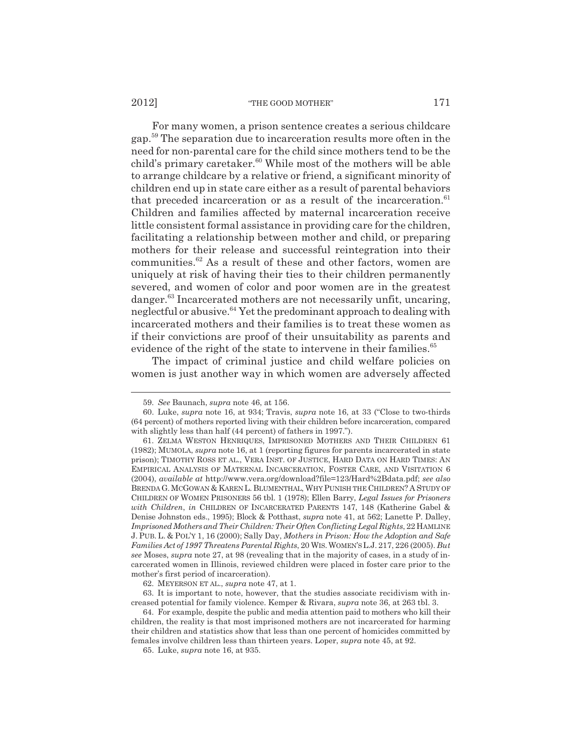For many women, a prison sentence creates a serious childcare gap.59 The separation due to incarceration results more often in the need for non-parental care for the child since mothers tend to be the child's primary caretaker. $60$  While most of the mothers will be able to arrange childcare by a relative or friend, a significant minority of children end up in state care either as a result of parental behaviors that preceded incarceration or as a result of the incarceration. $61$ Children and families affected by maternal incarceration receive little consistent formal assistance in providing care for the children, facilitating a relationship between mother and child, or preparing mothers for their release and successful reintegration into their communities.<sup>62</sup> As a result of these and other factors, women are uniquely at risk of having their ties to their children permanently severed, and women of color and poor women are in the greatest danger.<sup>63</sup> Incarcerated mothers are not necessarily unfit, uncaring, neglectful or abusive.<sup>64</sup> Yet the predominant approach to dealing with incarcerated mothers and their families is to treat these women as if their convictions are proof of their unsuitability as parents and evidence of the right of the state to intervene in their families.<sup>65</sup>

The impact of criminal justice and child welfare policies on women is just another way in which women are adversely affected

62. MEYERSON ET AL., *supra* note 47, at 1.

<sup>59.</sup> *See* Baunach, *supra* note 46, at 156.

<sup>60.</sup> Luke, *supra* note 16, at 934; Travis, *supra* note 16, at 33 ("Close to two-thirds (64 percent) of mothers reported living with their children before incarceration, compared with slightly less than half (44 percent) of fathers in 1997.").

<sup>61.</sup> ZELMA WESTON HENRIQUES, IMPRISONED MOTHERS AND THEIR CHILDREN 61 (1982); MUMOLA, *supra* note 16, at 1 (reporting figures for parents incarcerated in state prison); TIMOTHY ROSS ET AL., VERA INST. OF JUSTICE, HARD DATA ON HARD TIMES: AN EMPIRICAL ANALYSIS OF MATERNAL INCARCERATION, FOSTER CARE, AND VISITATION 6 (2004), *available at* http://www.vera.org/download?file=123/Hard%2Bdata.pdf; *see also* BRENDA G.MCGOWAN & KAREN L. BLUMENTHAL, WHY PUNISH THE CHILDREN? A STUDY OF CHILDREN OF WOMEN PRISONERS 56 tbl. 1 (1978); Ellen Barry, *Legal Issues for Prisoners with Children*, *in* CHILDREN OF INCARCERATED PARENTS 147, 148 (Katherine Gabel & Denise Johnston eds., 1995); Block & Potthast, *supra* note 41, at 562; Lanette P. Dalley, *Imprisoned Mothers and Their Children: Their Often Conflicting Legal Rights*, 22 HAMLINE J. PUB. L. & POL'Y 1, 16 (2000); Sally Day, *Mothers in Prison: How the Adoption and Safe Families Act of 1997 Threatens Parental Rights*, 20 WIS.WOMEN'S L.J. 217, 226 (2005). *But see* Moses, *supra* note 27, at 98 (revealing that in the majority of cases, in a study of incarcerated women in Illinois, reviewed children were placed in foster care prior to the mother's first period of incarceration).

<sup>63.</sup> It is important to note, however, that the studies associate recidivism with increased potential for family violence. Kemper & Rivara, *supra* note 36, at 263 tbl. 3.

<sup>64.</sup> For example, despite the public and media attention paid to mothers who kill their children, the reality is that most imprisoned mothers are not incarcerated for harming their children and statistics show that less than one percent of homicides committed by females involve children less than thirteen years. Loper, *supra* note 45, at 92.

<sup>65.</sup> Luke, *supra* note 16, at 935.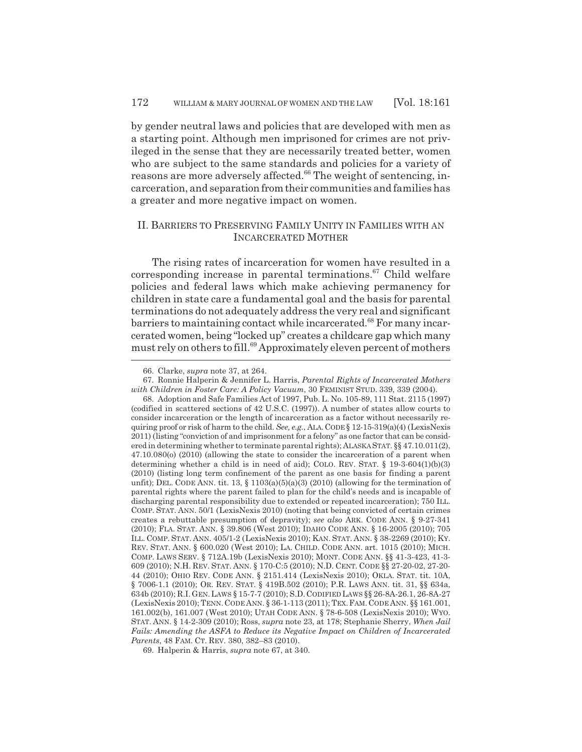by gender neutral laws and policies that are developed with men as a starting point. Although men imprisoned for crimes are not privileged in the sense that they are necessarily treated better, women who are subject to the same standards and policies for a variety of reasons are more adversely affected.<sup>66</sup> The weight of sentencing, incarceration, and separation from their communities and families has a greater and more negative impact on women.

# II. BARRIERS TO PRESERVING FAMILY UNITY IN FAMILIES WITH AN INCARCERATED MOTHER

The rising rates of incarceration for women have resulted in a corresponding increase in parental terminations.<sup>67</sup> Child welfare policies and federal laws which make achieving permanency for children in state care a fundamental goal and the basis for parental terminations do not adequately address the very real and significant barriers to maintaining contact while incarcerated.<sup>68</sup> For many incarcerated women, being "locked up" creates a childcare gap which many must rely on others to fill.<sup>69</sup> Approximately eleven percent of mothers

69. Halperin & Harris, *supra* note 67, at 340.

<sup>66.</sup> Clarke, *supra* note 37, at 264.

<sup>67.</sup> Ronnie Halperin & Jennifer L. Harris, *Parental Rights of Incarcerated Mothers with Children in Foster Care: A Policy Vacuum*, 30 FEMINIST STUD. 339, 339 (2004).

<sup>68.</sup> Adoption and Safe Families Act of 1997, Pub. L. No. 105-89, 111 Stat. 2115 (1997) (codified in scattered sections of 42 U.S.C. (1997)). A number of states allow courts to consider incarceration or the length of incarceration as a factor without necessarily requiring proof or risk of harm to the child. *See, e.g.*, ALA. CODE § 12-15-319(a)(4) (LexisNexis 2011) (listing "conviction of and imprisonment for a felony" as one factor that can be considered in determining whether to terminate parental rights); ALASKA STAT. §§ 47.10.011(2), 47.10.080(o) (2010) (allowing the state to consider the incarceration of a parent when determining whether a child is in need of aid); COLO. REV. STAT. § 19-3-604(1)(b)(3) (2010) (listing long term confinement of the parent as one basis for finding a parent unfit); DEL. CODE ANN. tit. 13,  $\S$  1103(a)(5)(a)(3) (2010) (allowing for the termination of parental rights where the parent failed to plan for the child's needs and is incapable of discharging parental responsibility due to extended or repeated incarceration); 750 ILL. COMP. STAT. ANN. 50/1 (LexisNexis 2010) (noting that being convicted of certain crimes creates a rebuttable presumption of depravity); *see also* ARK. CODE ANN. § 9-27-341 (2010); FLA. STAT. ANN. § 39.806 (West 2010); IDAHO CODE ANN. § 16-2005 (2010); 705 ILL. COMP. STAT. ANN. 405/1-2 (LexisNexis 2010); KAN. STAT. ANN. § 38-2269 (2010); KY. REV. STAT. ANN. § 600.020 (West 2010); LA. CHILD. CODE ANN. art. 1015 (2010); MICH. COMP. LAWS SERV. § 712A.19b (LexisNexis 2010); MONT. CODE ANN. §§ 41-3-423, 41-3- 609 (2010); N.H. REV. STAT. ANN. § 170-C:5 (2010); N.D. CENT. CODE §§ 27-20-02, 27-20- 44 (2010); OHIO REV. CODE ANN. § 2151.414 (LexisNexis 2010); OKLA. STAT. tit. 10A, § 7006-1.1 (2010); OR. REV. STAT. § 419B.502 (2010); P.R. LAWS ANN. tit. 31, §§ 634a, 634b (2010); R.I.GEN.LAWS § 15-7-7 (2010); S.D.CODIFIED LAWS §§ 26-8A-26.1, 26-8A-27 (LexisNexis 2010); TENN.CODE ANN. § 36-1-113 (2011); TEX.FAM.CODE ANN. §§ 161.001, 161.002(b), 161.007 (West 2010); UTAH CODE ANN. § 78-6-508 (LexisNexis 2010); WYO. STAT. ANN. § 14-2-309 (2010); Ross, *supra* note 23, at 178; Stephanie Sherry, *When Jail Fails: Amending the ASFA to Reduce its Negative Impact on Children of Incarcerated Parents*, 48 FAM. CT. REV. 380, 382–83 (2010).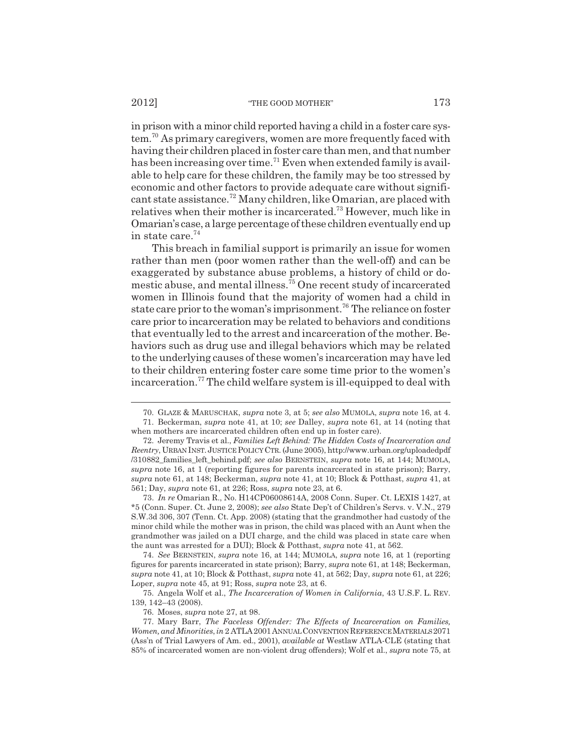in prison with a minor child reported having a child in a foster care system.70 As primary caregivers, women are more frequently faced with having their children placed in foster care than men, and that number has been increasing over time.<sup>71</sup> Even when extended family is available to help care for these children, the family may be too stressed by economic and other factors to provide adequate care without significant state assistance.72 Many children, like Omarian, are placed with relatives when their mother is incarcerated.73 However, much like in Omarian's case, a large percentage of these children eventually end up in state care. $74$ 

This breach in familial support is primarily an issue for women rather than men (poor women rather than the well-off) and can be exaggerated by substance abuse problems, a history of child or domestic abuse, and mental illness.75 One recent study of incarcerated women in Illinois found that the majority of women had a child in state care prior to the woman's imprisonment.<sup>76</sup> The reliance on foster care prior to incarceration may be related to behaviors and conditions that eventually led to the arrest and incarceration of the mother. Behaviors such as drug use and illegal behaviors which may be related to the underlying causes of these women's incarceration may have led to their children entering foster care some time prior to the women's incarceration.<sup>77</sup> The child welfare system is ill-equipped to deal with

73. *In re* Omarian R., No. H14CP06008614A, 2008 Conn. Super. Ct. LEXIS 1427, at \*5 (Conn. Super. Ct. June 2, 2008); *see also* State Dep't of Children's Servs. v. V.N., 279 S.W.3d 306, 307 (Tenn. Ct. App. 2008) (stating that the grandmother had custody of the minor child while the mother was in prison, the child was placed with an Aunt when the grandmother was jailed on a DUI charge, and the child was placed in state care when the aunt was arrested for a DUI); Block & Potthast, *supra* note 41, at 562.

74. *See* BERNSTEIN, *supra* note 16, at 144; MUMOLA, *supra* note 16, at 1 (reporting figures for parents incarcerated in state prison); Barry, *supra* note 61, at 148; Beckerman, *supra* note 41, at 10; Block & Potthast, *supra* note 41, at 562; Day, *supra* note 61, at 226; Loper, *supra* note 45, at 91; Ross, *supra* note 23, at 6.

75. Angela Wolf et al., *The Incarceration of Women in California*, 43 U.S.F. L. REV. 139, 142–43 (2008).

76. Moses, *supra* note 27, at 98.

<sup>70.</sup> GLAZE & MARUSCHAK, *supra* note 3, at 5; *see also* MUMOLA, *supra* note 16, at 4. 71. Beckerman, *supra* note 41, at 10; *see* Dalley, *supra* note 61, at 14 (noting that when mothers are incarcerated children often end up in foster care).

<sup>72.</sup> Jeremy Travis et al., *Families Left Behind: The Hidden Costs of Incarceration and Reentry*, URBAN INST.JUSTICE POLICY CTR. (June 2005), http://www.urban.org/uploadedpdf /310882\_families\_left\_behind.pdf; *see also* BERNSTEIN, *supra* note 16, at 144; MUMOLA, *supra* note 16, at 1 (reporting figures for parents incarcerated in state prison); Barry, *supra* note 61, at 148; Beckerman, *supra* note 41, at 10; Block & Potthast, *supra* 41, at 561; Day, *supra* note 61, at 226; Ross, *supra* note 23, at 6.

<sup>77.</sup> Mary Barr, *The Faceless Offender: The Effects of Incarceration on Families, Women, and Minorities*, *in* 2 ATLA2001ANNUAL CONVENTION REFERENCE MATERIALS 2071 (Ass'n of Trial Lawyers of Am. ed., 2001), *available at* Westlaw ATLA-CLE (stating that 85% of incarcerated women are non-violent drug offenders); Wolf et al., *supra* note 75, at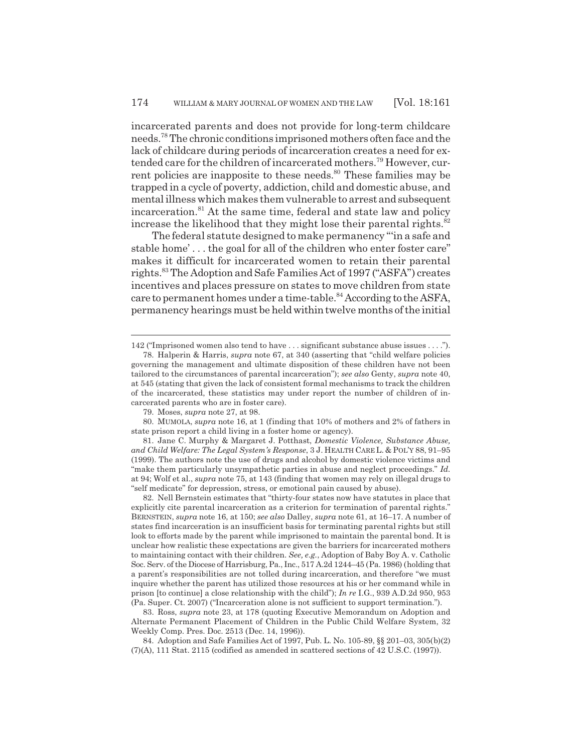incarcerated parents and does not provide for long-term childcare needs.78 The chronic conditions imprisoned mothers often face and the lack of childcare during periods of incarceration creates a need for extended care for the children of incarcerated mothers.79 However, current policies are inapposite to these needs.<sup>80</sup> These families may be trapped in a cycle of poverty, addiction, child and domestic abuse, and mental illness which makes them vulnerable to arrest and subsequent incarceration.81 At the same time, federal and state law and policy increase the likelihood that they might lose their parental rights.<sup>82</sup>

The federal statute designed to make permanency "'in a safe and stable home' . . . the goal for all of the children who enter foster care" makes it difficult for incarcerated women to retain their parental rights.83 The Adoption and Safe Families Act of 1997 ("ASFA") creates incentives and places pressure on states to move children from state care to permanent homes under a time-table.<sup>84</sup> According to the ASFA, permanency hearings must be held within twelve months of the initial

80. MUMOLA, *supra* note 16, at 1 (finding that 10% of mothers and 2% of fathers in state prison report a child living in a foster home or agency).

81. Jane C. Murphy & Margaret J. Potthast, *Domestic Violence, Substance Abuse, and Child Welfare: The Legal System's Response*, 3 J. HEALTH CARE L. & POL'Y 88, 91–95 (1999). The authors note the use of drugs and alcohol by domestic violence victims and "make them particularly unsympathetic parties in abuse and neglect proceedings." *Id.* at 94; Wolf et al., *supra* note 75, at 143 (finding that women may rely on illegal drugs to "self medicate" for depression, stress, or emotional pain caused by abuse).

82. Nell Bernstein estimates that "thirty-four states now have statutes in place that explicitly cite parental incarceration as a criterion for termination of parental rights." BERNSTEIN, *supra* note 16, at 150; *see also* Dalley, *supra* note 61, at 16–17. A number of states find incarceration is an insufficient basis for terminating parental rights but still look to efforts made by the parent while imprisoned to maintain the parental bond. It is unclear how realistic these expectations are given the barriers for incarcerated mothers to maintaining contact with their children. *See, e.g.*, Adoption of Baby Boy A. v. Catholic Soc. Serv. of the Diocese of Harrisburg, Pa., Inc., 517 A.2d 1244–45 (Pa. 1986) (holding that a parent's responsibilities are not tolled during incarceration, and therefore "we must inquire whether the parent has utilized those resources at his or her command while in prison [to continue] a close relationship with the child"); *In re* I.G., 939 A.D.2d 950, 953 (Pa. Super. Ct. 2007) ("Incarceration alone is not sufficient to support termination.").

83. Ross, *supra* note 23, at 178 (quoting Executive Memorandum on Adoption and Alternate Permanent Placement of Children in the Public Child Welfare System, 32 Weekly Comp. Pres. Doc. 2513 (Dec. 14, 1996)).

84. Adoption and Safe Families Act of 1997, Pub. L. No. 105-89, §§ 201–03, 305(b)(2) (7)(A), 111 Stat. 2115 (codified as amended in scattered sections of 42 U.S.C. (1997)).

<sup>142 (&</sup>quot;Imprisoned women also tend to have . . . significant substance abuse issues . . . .").

<sup>78.</sup> Halperin & Harris, *supra* note 67, at 340 (asserting that "child welfare policies governing the management and ultimate disposition of these children have not been tailored to the circumstances of parental incarceration"); *see also* Genty, *supra* note 40, at 545 (stating that given the lack of consistent formal mechanisms to track the children of the incarcerated, these statistics may under report the number of children of incarcerated parents who are in foster care).

<sup>79.</sup> Moses, *supra* note 27, at 98.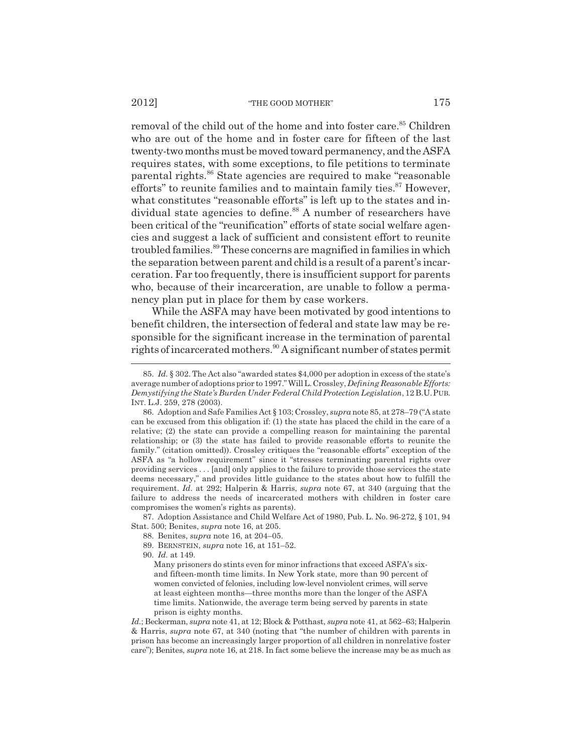removal of the child out of the home and into foster care.<sup>85</sup> Children who are out of the home and in foster care for fifteen of the last twenty-two months must be moved toward permanency, and the ASFA requires states, with some exceptions, to file petitions to terminate parental rights.86 State agencies are required to make "reasonable efforts" to reunite families and to maintain family ties. $87$  However, what constitutes "reasonable efforts" is left up to the states and individual state agencies to define.<sup>88</sup> A number of researchers have been critical of the "reunification" efforts of state social welfare agencies and suggest a lack of sufficient and consistent effort to reunite troubled families.<sup>89</sup> These concerns are magnified in families in which the separation between parent and child is a result of a parent's incarceration. Far too frequently, there is insufficient support for parents who, because of their incarceration, are unable to follow a permanency plan put in place for them by case workers.

While the ASFA may have been motivated by good intentions to benefit children, the intersection of federal and state law may be responsible for the significant increase in the termination of parental rights of incarcerated mothers.<sup>90</sup> A significant number of states permit

87. Adoption Assistance and Child Welfare Act of 1980, Pub. L. No. 96-272, § 101, 94 Stat. 500; Benites, *supra* note 16, at 205.

90. *Id.* at 149.

*Id.*; Beckerman, *supra* note 41, at 12; Block & Potthast, *supra* note 41, at 562–63; Halperin & Harris, *supra* note 67, at 340 (noting that "the number of children with parents in prison has become an increasingly larger proportion of all children in nonrelative foster care"); Benites, *supra* note 16, at 218. In fact some believe the increase may be as much as

<sup>85.</sup> *Id.* § 302. The Act also "awarded states \$4,000 per adoption in excess of the state's average number of adoptions prior to 1997." Will L. Crossley, *Defining Reasonable Efforts: Demystifying the State's Burden Under Federal Child Protection Legislation*, 12 B.U.PUB. INT. L.J. 259, 278 (2003).

<sup>86.</sup> Adoption and Safe Families Act § 103; Crossley, *supra* note 85, at 278–79 ("A state can be excused from this obligation if: (1) the state has placed the child in the care of a relative; (2) the state can provide a compelling reason for maintaining the parental relationship; or (3) the state has failed to provide reasonable efforts to reunite the family." (citation omitted)). Crossley critiques the "reasonable efforts" exception of the ASFA as "a hollow requirement" since it "stresses terminating parental rights over providing services . . . [and] only applies to the failure to provide those services the state deems necessary," and provides little guidance to the states about how to fulfill the requirement. *Id.* at 292; Halperin & Harris, *supra* note 67, at 340 (arguing that the failure to address the needs of incarcerated mothers with children in foster care compromises the women's rights as parents).

<sup>88.</sup> Benites, *supra* note 16, at 204–05.

<sup>89.</sup> BERNSTEIN, *supra* note 16, at 151–52.

Many prisoners do stints even for minor infractions that exceed ASFA's sixand fifteen-month time limits. In New York state, more than 90 percent of women convicted of felonies, including low-level nonviolent crimes, will serve at least eighteen months—three months more than the longer of the ASFA time limits. Nationwide, the average term being served by parents in state prison is eighty months.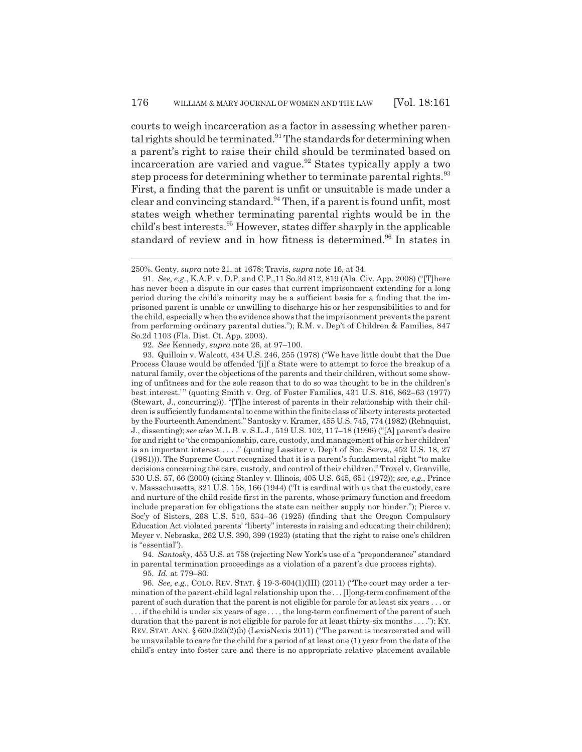courts to weigh incarceration as a factor in assessing whether parental rights should be terminated.<sup>91</sup> The standards for determining when a parent's right to raise their child should be terminated based on incarceration are varied and vague.<sup>92</sup> States typically apply a two step process for determining whether to terminate parental rights.<sup>93</sup> First, a finding that the parent is unfit or unsuitable is made under a clear and convincing standard.<sup>94</sup> Then, if a parent is found unfit, most states weigh whether terminating parental rights would be in the child's best interests.<sup>95</sup> However, states differ sharply in the applicable standard of review and in how fitness is determined.<sup>96</sup> In states in

92. *See* Kennedy, *supra* note 26, at 97–100.

93. Quilloin v. Walcott, 434 U.S. 246, 255 (1978) ("We have little doubt that the Due Process Clause would be offended '[i]f a State were to attempt to force the breakup of a natural family, over the objections of the parents and their children, without some showing of unfitness and for the sole reason that to do so was thought to be in the children's best interest.' " (quoting Smith v. Org. of Foster Families, 431 U.S. 816, 862–63 (1977) (Stewart, J., concurring))). "[T]he interest of parents in their relationship with their children is sufficiently fundamental to come within the finite class of liberty interests protected by the Fourteenth Amendment." Santosky v. Kramer, 455 U.S. 745, 774 (1982) (Rehnquist, J., dissenting); *see also* M.L.B. v. S.L.J., 519 U.S. 102, 117–18 (1996) ("[A] parent's desire for and right to 'the companionship, care, custody, and management of his or her children' is an important interest . . . ." (quoting Lassiter v. Dep't of Soc. Servs., 452 U.S. 18, 27 (1981))). The Supreme Court recognized that it is a parent's fundamental right "to make decisions concerning the care, custody, and control of their children." Troxel v. Granville, 530 U.S. 57, 66 (2000) (citing Stanley v. Illinois, 405 U.S. 645, 651 (1972)); *see, e.g.*, Prince v. Massachusetts, 321 U.S. 158, 166 (1944) ("It is cardinal with us that the custody, care and nurture of the child reside first in the parents, whose primary function and freedom include preparation for obligations the state can neither supply nor hinder."); Pierce v. Soc'y of Sisters, 268 U.S. 510, 534–36 (1925) (finding that the Oregon Compulsory Education Act violated parents' "liberty" interests in raising and educating their children); Meyer v. Nebraska, 262 U.S. 390, 399 (1923) (stating that the right to raise one's children is "essential").

94. *Santosky*, 455 U.S. at 758 (rejecting New York's use of a "preponderance" standard in parental termination proceedings as a violation of a parent's due process rights).

95. *Id.* at 779–80.

96. *See, e.g.*, COLO. REV. STAT. § 19-3-604(1)(III) (2011) ("The court may order a termination of the parent-child legal relationship upon the . . . [l]ong-term confinement of the parent of such duration that the parent is not eligible for parole for at least six years . . . or . . . if the child is under six years of age . . . , the long-term confinement of the parent of such duration that the parent is not eligible for parole for at least thirty-six months . . . ."); KY. REV. STAT. ANN. § 600.020(2)(b) (LexisNexis 2011) ("The parent is incarcerated and will be unavailable to care for the child for a period of at least one (1) year from the date of the child's entry into foster care and there is no appropriate relative placement available

<sup>250%.</sup> Genty, *supra* note 21, at 1678; Travis, *supra* note 16, at 34.

<sup>91.</sup> *See, e.g.*, K.A.P. v. D.P. and C.P.,11 So.3d 812, 819 (Ala. Civ. App. 2008) ("[T]here has never been a dispute in our cases that current imprisonment extending for a long period during the child's minority may be a sufficient basis for a finding that the imprisoned parent is unable or unwilling to discharge his or her responsibilities to and for the child, especially when the evidence shows that the imprisonment prevents the parent from performing ordinary parental duties."); R.M. v. Dep't of Children & Families, 847 So.2d 1103 (Fla. Dist. Ct. App. 2003).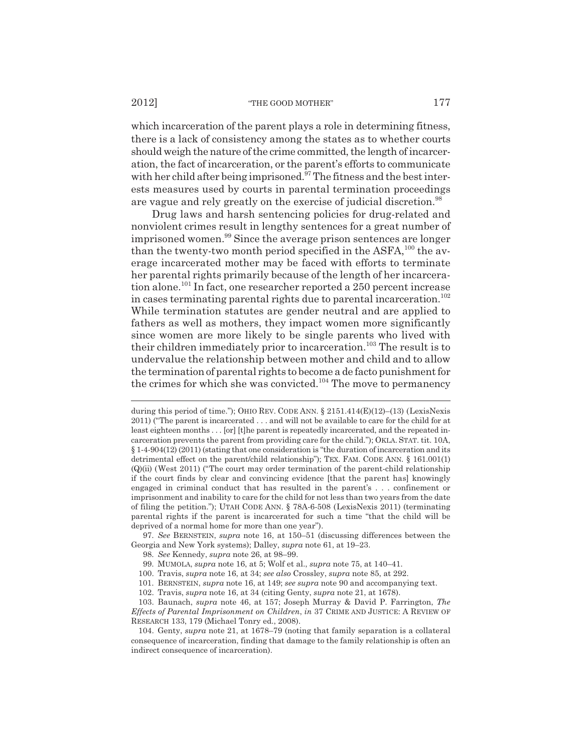which incarceration of the parent plays a role in determining fitness, there is a lack of consistency among the states as to whether courts should weigh the nature of the crime committed, the length of incarceration, the fact of incarceration, or the parent's efforts to communicate with her child after being imprisoned. $97$  The fitness and the best interests measures used by courts in parental termination proceedings are vague and rely greatly on the exercise of judicial discretion.<sup>98</sup>

Drug laws and harsh sentencing policies for drug-related and nonviolent crimes result in lengthy sentences for a great number of imprisoned women.<sup>99</sup> Since the average prison sentences are longer than the twenty-two month period specified in the ASFA, $^{100}$  the average incarcerated mother may be faced with efforts to terminate her parental rights primarily because of the length of her incarceration alone.<sup>101</sup> In fact, one researcher reported a 250 percent increase in cases terminating parental rights due to parental incarceration.<sup>102</sup> While termination statutes are gender neutral and are applied to fathers as well as mothers, they impact women more significantly since women are more likely to be single parents who lived with their children immediately prior to incarceration.<sup>103</sup> The result is to undervalue the relationship between mother and child and to allow the termination of parental rights to become a de facto punishment for the crimes for which she was convicted.<sup>104</sup> The move to permanency

97. *See* BERNSTEIN, *supra* note 16, at 150–51 (discussing differences between the Georgia and New York systems); Dalley, *supra* note 61, at 19–23.

- 98. *See* Kennedy, *supra* note 26, at 98–99.
- 99. MUMOLA, *supra* note 16, at 5; Wolf et al., *supra* note 75, at 140–41.

101. BERNSTEIN, *supra* note 16, at 149; *see supra* note 90 and accompanying text.

during this period of time."); OHIO REV. CODE ANN.  $\S 2151.414(E)(12)$ –(13) (LexisNexis 2011) ("The parent is incarcerated . . . and will not be available to care for the child for at least eighteen months . . . [or] [t]he parent is repeatedly incarcerated, and the repeated incarceration prevents the parent from providing care for the child."); OKLA. STAT. tit. 10A, § 1-4-904(12) (2011) (stating that one consideration is "the duration of incarceration and its detrimental effect on the parent/child relationship"); TEX. FAM. CODE ANN. § 161.001(1) (Q)(ii) (West 2011) ("The court may order termination of the parent-child relationship if the court finds by clear and convincing evidence [that the parent has] knowingly engaged in criminal conduct that has resulted in the parent's . . . confinement or imprisonment and inability to care for the child for not less than two years from the date of filing the petition."); UTAH CODE ANN. § 78A-6-508 (LexisNexis 2011) (terminating parental rights if the parent is incarcerated for such a time "that the child will be deprived of a normal home for more than one year").

<sup>100.</sup> Travis, *supra* note 16, at 34; *see also* Crossley, *supra* note 85, at 292.

<sup>102.</sup> Travis, *supra* note 16, at 34 (citing Genty, *supra* note 21, at 1678).

<sup>103.</sup> Baunach, *supra* note 46, at 157; Joseph Murray & David P. Farrington, *The Effects of Parental Imprisonment on Children*, *in* 37 CRIME AND JUSTICE: A REVIEW OF RESEARCH 133, 179 (Michael Tonry ed., 2008).

<sup>104.</sup> Genty, *supra* note 21, at 1678–79 (noting that family separation is a collateral consequence of incarceration, finding that damage to the family relationship is often an indirect consequence of incarceration).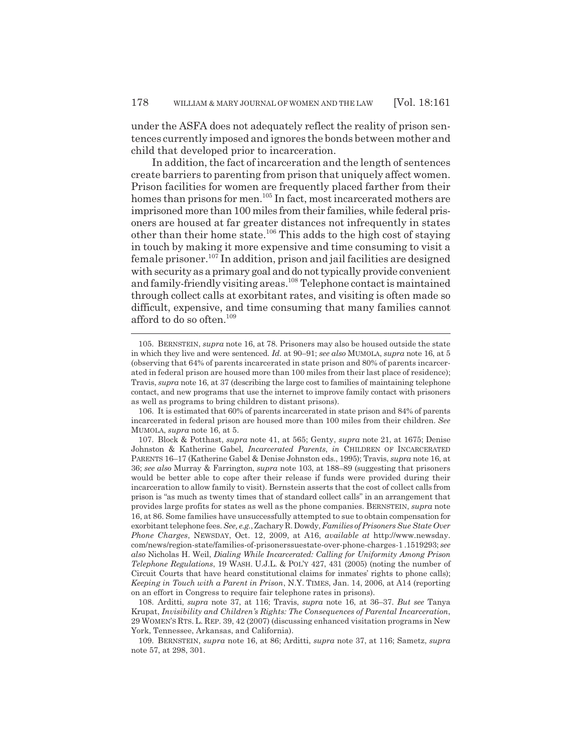under the ASFA does not adequately reflect the reality of prison sentences currently imposed and ignores the bonds between mother and child that developed prior to incarceration.

In addition, the fact of incarceration and the length of sentences create barriers to parenting from prison that uniquely affect women. Prison facilities for women are frequently placed farther from their homes than prisons for men.<sup>105</sup> In fact, most incarcerated mothers are imprisoned more than 100 miles from their families, while federal prisoners are housed at far greater distances not infrequently in states other than their home state.<sup>106</sup> This adds to the high cost of staying in touch by making it more expensive and time consuming to visit a female prisoner.107 In addition, prison and jail facilities are designed with security as a primary goal and do not typically provide convenient and family-friendly visiting areas.108 Telephone contact is maintained through collect calls at exorbitant rates, and visiting is often made so difficult, expensive, and time consuming that many families cannot afford to do so often.<sup>109</sup>

<sup>105.</sup> BERNSTEIN, *supra* note 16, at 78. Prisoners may also be housed outside the state in which they live and were sentenced. *Id.* at 90–91; *see also* MUMOLA, *supra* note 16, at 5 (observing that 64% of parents incarcerated in state prison and 80% of parents incarcerated in federal prison are housed more than 100 miles from their last place of residence); Travis, *supra* note 16, at 37 (describing the large cost to families of maintaining telephone contact, and new programs that use the internet to improve family contact with prisoners as well as programs to bring children to distant prisons).

<sup>106.</sup> It is estimated that 60% of parents incarcerated in state prison and 84% of parents incarcerated in federal prison are housed more than 100 miles from their children. *See* MUMOLA, *supra* note 16, at 5.

<sup>107.</sup> Block & Potthast, *supra* note 41, at 565; Genty, *supra* note 21, at 1675; Denise Johnston & Katherine Gabel, *Incarcerated Parents*, *in* CHILDREN OF INCARCERATED PARENTS 16–17 (Katherine Gabel & Denise Johnston eds., 1995); Travis, *supra* note 16, at 36; *see also* Murray & Farrington, *supra* note 103, at 188–89 (suggesting that prisoners would be better able to cope after their release if funds were provided during their incarceration to allow family to visit). Bernstein asserts that the cost of collect calls from prison is "as much as twenty times that of standard collect calls" in an arrangement that provides large profits for states as well as the phone companies. BERNSTEIN, *supra* note 16, at 86. Some families have unsuccessfully attempted to sue to obtain compensation for exorbitant telephone fees. *See, e.g.*, Zachary R. Dowdy, *Families of Prisoners Sue State Over Phone Charges*, NEWSDAY, Oct. 12, 2009, at A16, *available at* http://www.newsday. com/news/region-state/families-of-prisonerssuestate-over-phone-charges-1 .1519293; *see also* Nicholas H. Weil, *Dialing While Incarcerated: Calling for Uniformity Among Prison Telephone Regulations*, 19 WASH. U.J.L. & POL'Y 427, 431 (2005) (noting the number of Circuit Courts that have heard constitutional claims for inmates' rights to phone calls); *Keeping in Touch with a Parent in Prison*, N.Y. TIMES, Jan. 14, 2006, at A14 (reporting on an effort in Congress to require fair telephone rates in prisons).

<sup>108.</sup> Arditti, *supra* note 37, at 116; Travis, *supra* note 16, at 36–37. *But see* Tanya Krupat, *Invisibility and Children's Rights: The Consequences of Parental Incarceration*, 29 WOMEN'S RTS. L. REP. 39, 42 (2007) (discussing enhanced visitation programs in New York, Tennessee, Arkansas, and California).

<sup>109.</sup> BERNSTEIN, *supra* note 16, at 86; Arditti, *supra* note 37, at 116; Sametz, *supra* note 57, at 298, 301.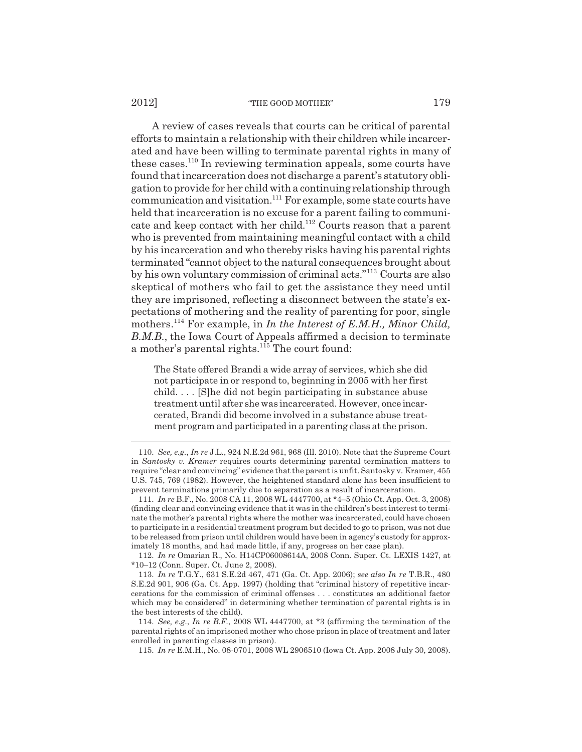A review of cases reveals that courts can be critical of parental efforts to maintain a relationship with their children while incarcerated and have been willing to terminate parental rights in many of these cases.110 In reviewing termination appeals, some courts have found that incarceration does not discharge a parent's statutory obligation to provide for her child with a continuing relationship through communication and visitation.111 For example, some state courts have held that incarceration is no excuse for a parent failing to communicate and keep contact with her child.112 Courts reason that a parent who is prevented from maintaining meaningful contact with a child by his incarceration and who thereby risks having his parental rights terminated "cannot object to the natural consequences brought about by his own voluntary commission of criminal acts."113 Courts are also skeptical of mothers who fail to get the assistance they need until they are imprisoned, reflecting a disconnect between the state's expectations of mothering and the reality of parenting for poor, single mothers.114 For example, in *In the Interest of E.M.H., Minor Child, B.M.B.*, the Iowa Court of Appeals affirmed a decision to terminate a mother's parental rights. $115$  The court found:

The State offered Brandi a wide array of services, which she did not participate in or respond to, beginning in 2005 with her first child. . . . [S]he did not begin participating in substance abuse treatment until after she was incarcerated. However, once incarcerated, Brandi did become involved in a substance abuse treatment program and participated in a parenting class at the prison.

115. *In re* E.M.H., No. 08-0701, 2008 WL 2906510 (Iowa Ct. App. 2008 July 30, 2008).

<sup>110.</sup> *See, e.g.*, *In re* J.L., 924 N.E.2d 961, 968 (Ill. 2010). Note that the Supreme Court in *Santosky v. Kramer* requires courts determining parental termination matters to require "clear and convincing" evidence that the parent is unfit. Santosky v. Kramer, 455 U.S. 745, 769 (1982). However, the heightened standard alone has been insufficient to prevent terminations primarily due to separation as a result of incarceration.

<sup>111.</sup> *In re* B.F., No. 2008 CA 11, 2008 WL 4447700, at \*4–5 (Ohio Ct. App. Oct. 3, 2008) (finding clear and convincing evidence that it was in the children's best interest to terminate the mother's parental rights where the mother was incarcerated, could have chosen to participate in a residential treatment program but decided to go to prison, was not due to be released from prison until children would have been in agency's custody for approximately 18 months, and had made little, if any, progress on her case plan).

<sup>112.</sup> *In re* Omarian R., No. H14CP06008614A, 2008 Conn. Super. Ct. LEXIS 1427, at \*10–12 (Conn. Super. Ct. June 2, 2008).

<sup>113.</sup> *In re* T.G.Y., 631 S.E.2d 467, 471 (Ga. Ct. App. 2006); *see also In re* T.B.R., 480 S.E.2d 901, 906 (Ga. Ct. App. 1997) (holding that "criminal history of repetitive incarcerations for the commission of criminal offenses . . . constitutes an additional factor which may be considered" in determining whether termination of parental rights is in the best interests of the child).

<sup>114.</sup> *See, e.g.*, *In re B.F.*, 2008 WL 4447700, at \*3 (affirming the termination of the parental rights of an imprisoned mother who chose prison in place of treatment and later enrolled in parenting classes in prison).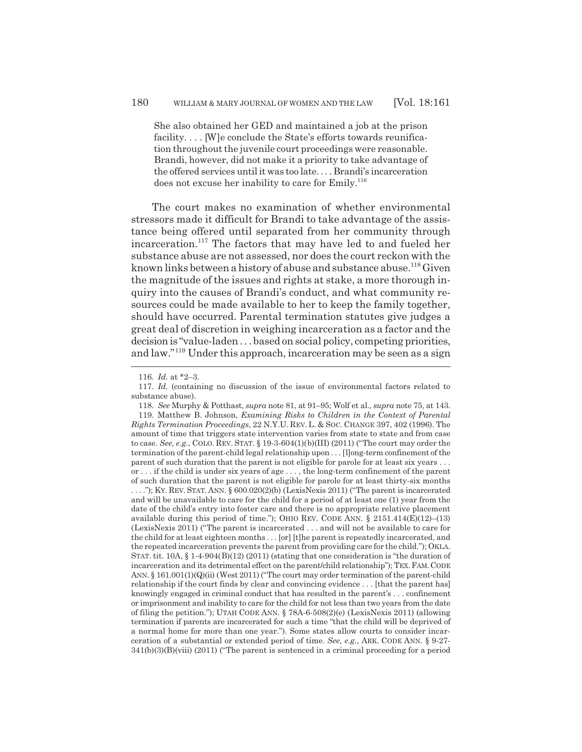She also obtained her GED and maintained a job at the prison facility.... [W]e conclude the State's efforts towards reunification throughout the juvenile court proceedings were reasonable. Brandi, however, did not make it a priority to take advantage of the offered services until it was too late. . . . Brandi's incarceration does not excuse her inability to care for Emily.<sup>116</sup>

The court makes no examination of whether environmental stressors made it difficult for Brandi to take advantage of the assistance being offered until separated from her community through incarceration.<sup>117</sup> The factors that may have led to and fueled her substance abuse are not assessed, nor does the court reckon with the known links between a history of abuse and substance abuse.118 Given the magnitude of the issues and rights at stake, a more thorough inquiry into the causes of Brandi's conduct, and what community resources could be made available to her to keep the family together, should have occurred. Parental termination statutes give judges a great deal of discretion in weighing incarceration as a factor and the decision is "value-laden . . . based on social policy, competing priorities, and law."119 Under this approach, incarceration may be seen as a sign

<sup>116.</sup> *Id.* at \*2–3.

<sup>117.</sup> *Id.* (containing no discussion of the issue of environmental factors related to substance abuse).

<sup>118.</sup> *See* Murphy & Potthast, *supra* note 81, at 91–95; Wolf et al., *supra* note 75, at 143.

<sup>119.</sup> Matthew B. Johnson, *Examining Risks to Children in the Context of Parental Rights Termination Proceedings*, 22 N.Y.U. REV. L. & SOC. CHANGE 397, 402 (1996). The amount of time that triggers state intervention varies from state to state and from case to case. *See, e.g.*, COLO. REV. STAT. § 19-3-604(1)(b)(III) (2011) ("The court may order the termination of the parent-child legal relationship upon . . . [l]ong-term confinement of the parent of such duration that the parent is not eligible for parole for at least six years . . . or . . . if the child is under six years of age . . . , the long-term confinement of the parent of such duration that the parent is not eligible for parole for at least thirty-six months . . . ."); KY. REV. STAT. ANN. § 600.020(2)(b) (LexisNexis 2011) ("The parent is incarcerated and will be unavailable to care for the child for a period of at least one (1) year from the date of the child's entry into foster care and there is no appropriate relative placement available during this period of time."); OHIO REV. CODE ANN.  $\S$  2151.414(E)(12)–(13) (LexisNexis 2011) ("The parent is incarcerated . . . and will not be available to care for the child for at least eighteen months . . . [or] [t]he parent is repeatedly incarcerated, and the repeated incarceration prevents the parent from providing care for the child."); OKLA. STAT. tit.  $10A$ ,  $\S 1-4-904(B)(12)$  (2011) (stating that one consideration is "the duration of incarceration and its detrimental effect on the parent/child relationship"); TEX.FAM.CODE ANN. § 161.001(1)(Q)(ii) (West 2011) ("The court may order termination of the parent-child relationship if the court finds by clear and convincing evidence . . . [that the parent has] knowingly engaged in criminal conduct that has resulted in the parent's . . . confinement or imprisonment and inability to care for the child for not less than two years from the date of filing the petition."); UTAH CODE ANN. § 78A-6-508(2)(e) (LexisNexis 2011) (allowing termination if parents are incarcerated for such a time "that the child will be deprived of a normal home for more than one year."). Some states allow courts to consider incarceration of a substantial or extended period of time. *See, e.g.*, ARK. CODE ANN. § 9-27- 341(b)(3)(B)(viii) (2011) ("The parent is sentenced in a criminal proceeding for a period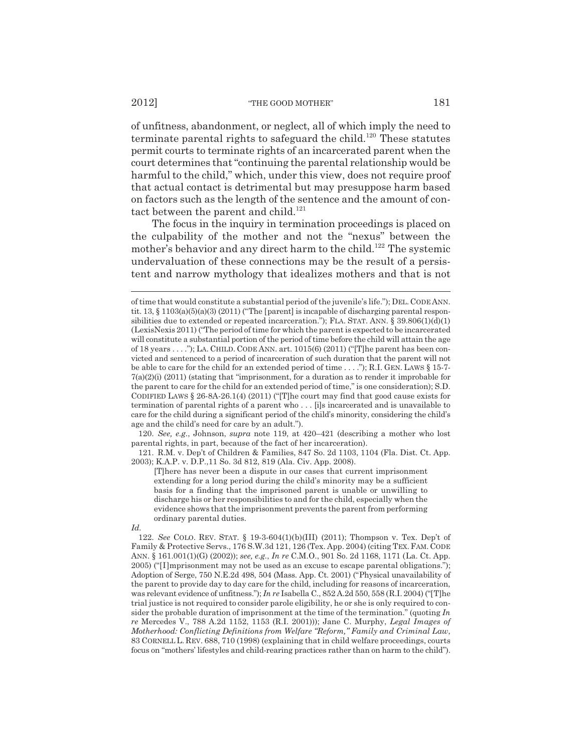of unfitness, abandonment, or neglect, all of which imply the need to terminate parental rights to safeguard the child.<sup>120</sup> These statutes permit courts to terminate rights of an incarcerated parent when the court determines that "continuing the parental relationship would be harmful to the child," which, under this view, does not require proof that actual contact is detrimental but may presuppose harm based on factors such as the length of the sentence and the amount of contact between the parent and child.<sup>121</sup>

The focus in the inquiry in termination proceedings is placed on the culpability of the mother and not the "nexus" between the mother's behavior and any direct harm to the child.<sup>122</sup> The systemic undervaluation of these connections may be the result of a persistent and narrow mythology that idealizes mothers and that is not

120. *See, e.g.*, Johnson, *supra* note 119, at 420–421 (describing a mother who lost parental rights, in part, because of the fact of her incarceration).

121. R.M. v. Dep't of Children & Families, 847 So. 2d 1103, 1104 (Fla. Dist. Ct. App. 2003); K.A.P. v. D.P.,11 So. 3d 812, 819 (Ala. Civ. App. 2008).

[T]here has never been a dispute in our cases that current imprisonment extending for a long period during the child's minority may be a sufficient basis for a finding that the imprisoned parent is unable or unwilling to discharge his or her responsibilities to and for the child, especially when the evidence shows that the imprisonment prevents the parent from performing ordinary parental duties.

of time that would constitute a substantial period of the juvenile's life."); DEL. CODE ANN. tit. 13,  $\S$  1103(a)(5)(a)(3) (2011) ("The [parent] is incapable of discharging parental responsibilities due to extended or repeated incarceration."); FLA. STAT. ANN.  $\S$  39.806(1)(d)(1) (LexisNexis 2011) ("The period of time for which the parent is expected to be incarcerated will constitute a substantial portion of the period of time before the child will attain the age of 18 years . . . ."); LA. CHILD. CODE ANN. art. 1015(6) (2011) ("[T]he parent has been convicted and sentenced to a period of incarceration of such duration that the parent will not be able to care for the child for an extended period of time  $\dots$ ."); R.I. GEN. LAWS § 15-7- $7(a)(2)(i)$  (2011) (stating that "imprisonment, for a duration as to render it improbable for the parent to care for the child for an extended period of time," is one consideration); S.D. CODIFIED LAWS § 26-8A-26.1(4) (2011) ("[T]he court may find that good cause exists for termination of parental rights of a parent who . . . [i]s incarcerated and is unavailable to care for the child during a significant period of the child's minority, considering the child's age and the child's need for care by an adult.").

*Id.*

<sup>122.</sup> *See* COLO. REV. STAT. § 19-3-604(1)(b)(III) (2011); Thompson v. Tex. Dep't of Family & Protective Servs., 176 S.W.3d 121, 126 (Tex. App. 2004) (citing TEX.FAM. CODE ANN. § 161.001(1)(G) (2002)); *see, e.g.*, *In re* C.M.O., 901 So. 2d 1168, 1171 (La. Ct. App. 2005) ("[I]mprisonment may not be used as an excuse to escape parental obligations."); Adoption of Serge, 750 N.E.2d 498, 504 (Mass. App. Ct. 2001) ("Physical unavailability of the parent to provide day to day care for the child, including for reasons of incarceration, was relevant evidence of unfitness."); *In re* Isabella C., 852 A.2d 550, 558 (R.I. 2004) ("[T]he trial justice is not required to consider parole eligibility, he or she is only required to consider the probable duration of imprisonment at the time of the termination." (quoting *In re* Mercedes V., 788 A.2d 1152, 1153 (R.I. 2001))); Jane C. Murphy, *Legal Images of Motherhood: Conflicting Definitions from Welfare "Reform," Family and Criminal Law*, 83 CORNELL L. REV. 688, 710 (1998) (explaining that in child welfare proceedings, courts focus on "mothers' lifestyles and child-rearing practices rather than on harm to the child").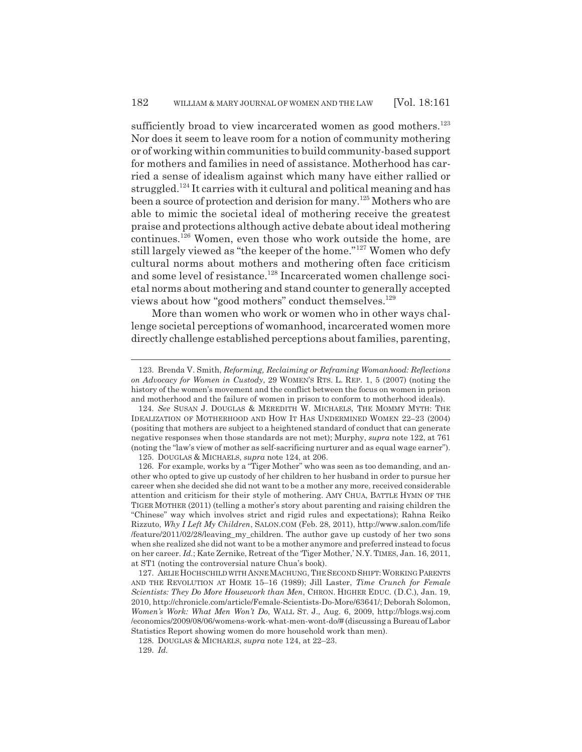sufficiently broad to view incarcerated women as good mothers.<sup>123</sup> Nor does it seem to leave room for a notion of community mothering or of working within communities to build community-based support for mothers and families in need of assistance. Motherhood has carried a sense of idealism against which many have either rallied or struggled.124 It carries with it cultural and political meaning and has been a source of protection and derision for many.125 Mothers who are able to mimic the societal ideal of mothering receive the greatest praise and protections although active debate about ideal mothering continues.126 Women, even those who work outside the home, are still largely viewed as "the keeper of the home."127 Women who defy cultural norms about mothers and mothering often face criticism and some level of resistance.<sup>128</sup> Incarcerated women challenge societal norms about mothering and stand counter to generally accepted views about how "good mothers" conduct themselves.<sup>129</sup>

More than women who work or women who in other ways challenge societal perceptions of womanhood, incarcerated women more directly challenge established perceptions about families, parenting,

<sup>123.</sup> Brenda V. Smith, *Reforming, Reclaiming or Reframing Womanhood: Reflections on Advocacy for Women in Custody*, 29 WOMEN'S RTS. L. REP. 1, 5 (2007) (noting the history of the women's movement and the conflict between the focus on women in prison and motherhood and the failure of women in prison to conform to motherhood ideals).

<sup>124.</sup> *See* SUSAN J. DOUGLAS & MEREDITH W. MICHAELS, THE MOMMY MYTH: THE IDEALIZATION OF MOTHERHOOD AND HOW IT HAS UNDERMINED WOMEN 22–23 (2004) (positing that mothers are subject to a heightened standard of conduct that can generate negative responses when those standards are not met); Murphy, *supra* note 122, at 761 (noting the "law's view of mother as self-sacrificing nurturer and as equal wage earner").

<sup>125.</sup> DOUGLAS & MICHAELS, *supra* note 124, at 206.

<sup>126.</sup> For example, works by a "Tiger Mother" who was seen as too demanding, and another who opted to give up custody of her children to her husband in order to pursue her career when she decided she did not want to be a mother any more, received considerable attention and criticism for their style of mothering. AMY CHUA, BATTLE HYMN OF THE TIGER MOTHER (2011) (telling a mother's story about parenting and raising children the "Chinese" way which involves strict and rigid rules and expectations); Rahna Reiko Rizzuto, *Why I Left My Children*, SALON.COM (Feb. 28, 2011), http://www.salon.com/life /feature/2011/02/28/leaving\_my\_children. The author gave up custody of her two sons when she realized she did not want to be a mother anymore and preferred instead to focus on her career. *Id.*; Kate Zernike, Retreat of the 'Tiger Mother,' N.Y. TIMES, Jan. 16, 2011, at ST1 (noting the controversial nature Chua's book).

<sup>127.</sup> ARLIE HOCHSCHILD WITH ANNE MACHUNG, THE SECOND SHIFT: WORKING PARENTS AND THE REVOLUTION AT HOME 15–16 (1989); Jill Laster, *Time Crunch for Female Scientists: They Do More Housework than Men*, CHRON. HIGHER EDUC. (D.C.), Jan. 19, 2010, http://chronicle.com/article/Female-Scientists-Do-More/63641/; Deborah Solomon, *Women's Work: What Men Won't Do*, WALL ST. J., Aug. 6, 2009, http://blogs.wsj.com /economics/2009/08/06/womens-work-what-men-wont-do/# (discussing a Bureau of Labor Statistics Report showing women do more household work than men).

<sup>128.</sup> DOUGLAS & MICHAELS, *supra* note 124, at 22–23.

<sup>129.</sup> *Id.*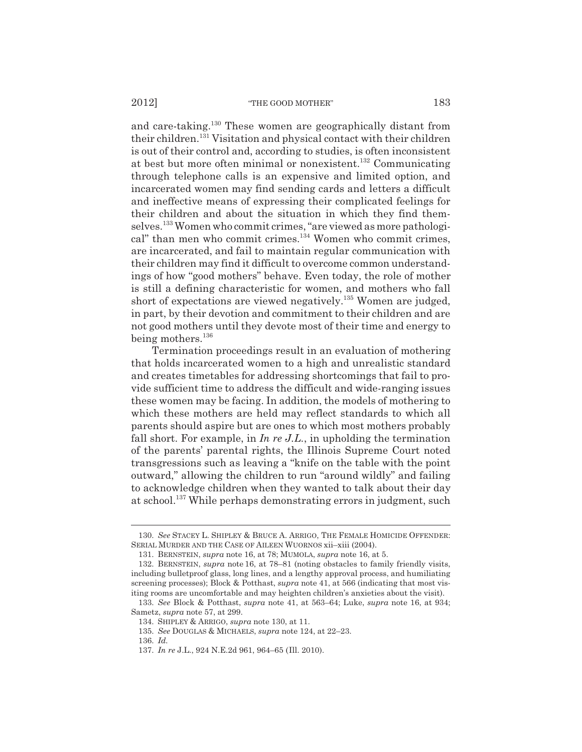and care-taking.130 These women are geographically distant from their children.131 Visitation and physical contact with their children is out of their control and, according to studies, is often inconsistent at best but more often minimal or nonexistent.132 Communicating through telephone calls is an expensive and limited option, and incarcerated women may find sending cards and letters a difficult and ineffective means of expressing their complicated feelings for their children and about the situation in which they find themselves.133 Women who commit crimes, "are viewed as more pathological" than men who commit crimes.<sup>134</sup> Women who commit crimes, are incarcerated, and fail to maintain regular communication with their children may find it difficult to overcome common understandings of how "good mothers" behave. Even today, the role of mother is still a defining characteristic for women, and mothers who fall short of expectations are viewed negatively.135 Women are judged, in part, by their devotion and commitment to their children and are not good mothers until they devote most of their time and energy to being mothers.<sup>136</sup>

Termination proceedings result in an evaluation of mothering that holds incarcerated women to a high and unrealistic standard and creates timetables for addressing shortcomings that fail to provide sufficient time to address the difficult and wide-ranging issues these women may be facing. In addition, the models of mothering to which these mothers are held may reflect standards to which all parents should aspire but are ones to which most mothers probably fall short. For example, in *In re J.L.*, in upholding the termination of the parents' parental rights, the Illinois Supreme Court noted transgressions such as leaving a "knife on the table with the point outward," allowing the children to run "around wildly" and failing to acknowledge children when they wanted to talk about their day at school.<sup>137</sup> While perhaps demonstrating errors in judgment, such

<sup>130.</sup> *See* STACEY L. SHIPLEY & BRUCE A. ARRIGO, THE FEMALE HOMICIDE OFFENDER: SERIAL MURDER AND THE CASE OF AILEEN WUORNOS xii–xiii (2004).

<sup>131.</sup> BERNSTEIN, *supra* note 16, at 78; MUMOLA, *supra* note 16, at 5.

<sup>132.</sup> BERNSTEIN, *supra* note 16, at 78–81 (noting obstacles to family friendly visits, including bulletproof glass, long lines, and a lengthy approval process, and humiliating screening processes); Block & Potthast, *supra* note 41, at 566 (indicating that most visiting rooms are uncomfortable and may heighten children's anxieties about the visit).

<sup>133.</sup> *See* Block & Potthast, *supra* note 41, at 563–64; Luke, *supra* note 16, at 934; Sametz, *supra* note 57, at 299.

<sup>134.</sup> SHIPLEY & ARRIGO, *supra* note 130, at 11.

<sup>135.</sup> *See* DOUGLAS & MICHAELS, *supra* note 124, at 22–23.

<sup>136.</sup> *Id.*

<sup>137.</sup> *In re* J.L., 924 N.E.2d 961, 964–65 (Ill. 2010).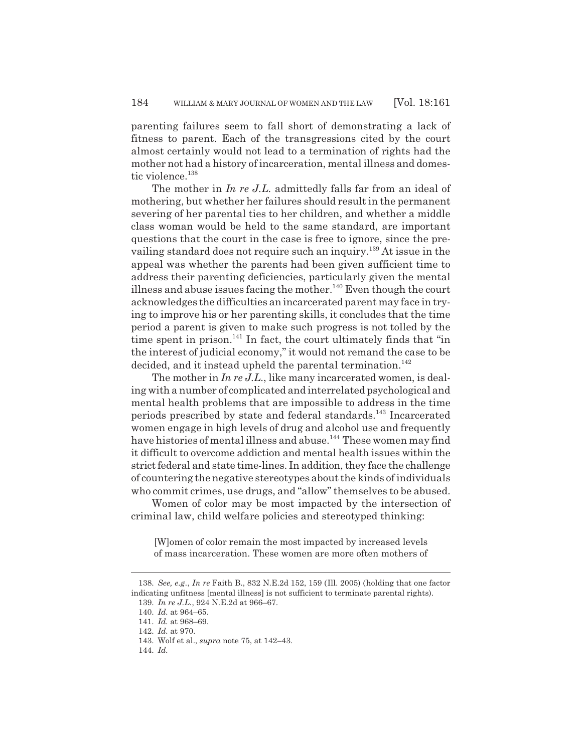parenting failures seem to fall short of demonstrating a lack of fitness to parent. Each of the transgressions cited by the court almost certainly would not lead to a termination of rights had the mother not had a history of incarceration, mental illness and domestic violence.<sup>138</sup>

The mother in *In re J.L.* admittedly falls far from an ideal of mothering, but whether her failures should result in the permanent severing of her parental ties to her children, and whether a middle class woman would be held to the same standard, are important questions that the court in the case is free to ignore, since the prevailing standard does not require such an inquiry.<sup>139</sup> At issue in the appeal was whether the parents had been given sufficient time to address their parenting deficiencies, particularly given the mental illness and abuse issues facing the mother.<sup>140</sup> Even though the court acknowledges the difficulties an incarcerated parent may face in trying to improve his or her parenting skills, it concludes that the time period a parent is given to make such progress is not tolled by the time spent in prison.<sup>141</sup> In fact, the court ultimately finds that "in the interest of judicial economy," it would not remand the case to be decided, and it instead upheld the parental termination.<sup>142</sup>

The mother in *In re J.L.*, like many incarcerated women, is dealing with a number of complicated and interrelated psychological and mental health problems that are impossible to address in the time periods prescribed by state and federal standards.<sup>143</sup> Incarcerated women engage in high levels of drug and alcohol use and frequently have histories of mental illness and abuse.<sup>144</sup> These women may find it difficult to overcome addiction and mental health issues within the strict federal and state time-lines. In addition, they face the challenge of countering the negative stereotypes about the kinds of individuals who commit crimes, use drugs, and "allow" themselves to be abused.

Women of color may be most impacted by the intersection of criminal law, child welfare policies and stereotyped thinking:

[W]omen of color remain the most impacted by increased levels of mass incarceration. These women are more often mothers of

<sup>138.</sup> *See, e.g.*, *In re* Faith B., 832 N.E.2d 152, 159 (Ill. 2005) (holding that one factor indicating unfitness [mental illness] is not sufficient to terminate parental rights). 139. *In re J.L.*, 924 N.E.2d at 966–67.

<sup>140.</sup> *Id.* at 964–65.

<sup>141.</sup> *Id.* at 968–69.

<sup>142.</sup> *Id.* at 970.

<sup>143.</sup> Wolf et al., *supra* note 75, at 142–43.

<sup>144.</sup> *Id.*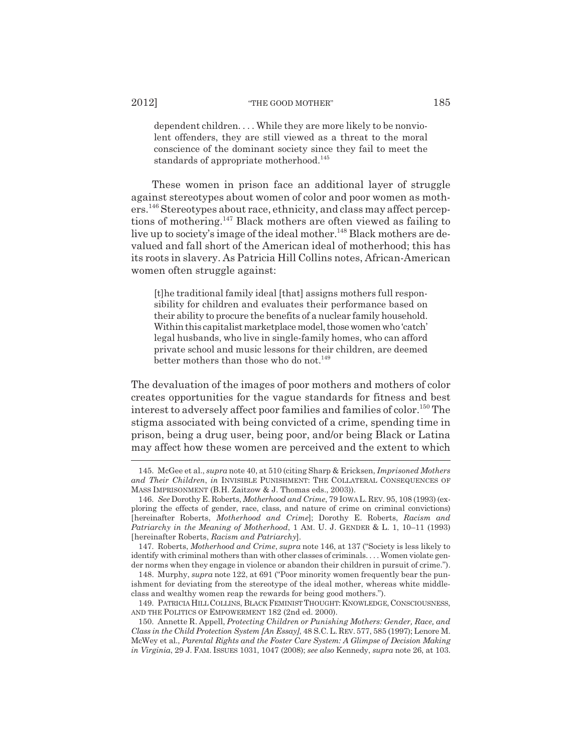dependent children. . . . While they are more likely to be nonviolent offenders, they are still viewed as a threat to the moral conscience of the dominant society since they fail to meet the standards of appropriate motherhood.<sup>145</sup>

These women in prison face an additional layer of struggle against stereotypes about women of color and poor women as mothers.146 Stereotypes about race, ethnicity, and class may affect perceptions of mothering.147 Black mothers are often viewed as failing to live up to society's image of the ideal mother.<sup>148</sup> Black mothers are devalued and fall short of the American ideal of motherhood; this has its roots in slavery. As Patricia Hill Collins notes, African-American women often struggle against:

[t]he traditional family ideal [that] assigns mothers full responsibility for children and evaluates their performance based on their ability to procure the benefits of a nuclear family household. Within this capitalist marketplace model, those women who 'catch' legal husbands, who live in single-family homes, who can afford private school and music lessons for their children, are deemed better mothers than those who do not.  $^{149}$ 

The devaluation of the images of poor mothers and mothers of color creates opportunities for the vague standards for fitness and best interest to adversely affect poor families and families of color.<sup>150</sup> The stigma associated with being convicted of a crime, spending time in prison, being a drug user, being poor, and/or being Black or Latina may affect how these women are perceived and the extent to which

<sup>145.</sup> McGee et al., *supra* note 40, at 510 (citing Sharp & Ericksen, *Imprisoned Mothers and Their Children*, *in* INVISIBLE PUNISHMENT: THE COLLATERAL CONSEQUENCES OF MASS IMPRISONMENT (B.H. Zaitzow & J. Thomas eds., 2003)).

<sup>146.</sup> *See* Dorothy E. Roberts, *Motherhood and Crime*, 79 IOWA L. REV. 95, 108 (1993) (exploring the effects of gender, race, class, and nature of crime on criminal convictions) [hereinafter Roberts, *Motherhood and Crime*]; Dorothy E. Roberts, *Racism and Patriarchy in the Meaning of Motherhood*, 1 AM. U. J. GENDER & L. 1, 10–11 (1993) [hereinafter Roberts, *Racism and Patriarchy*].

<sup>147.</sup> Roberts, *Motherhood and Crime*, *supra* note 146, at 137 ("Society is less likely to identify with criminal mothers than with other classes of criminals. . . . Women violate gender norms when they engage in violence or abandon their children in pursuit of crime.").

<sup>148.</sup> Murphy, *supra* note 122, at 691 ("Poor minority women frequently bear the punishment for deviating from the stereotype of the ideal mother, whereas white middleclass and wealthy women reap the rewards for being good mothers.").

<sup>149.</sup> PATRICIA HILL COLLINS, BLACK FEMINIST THOUGHT: KNOWLEDGE, CONSCIOUSNESS, AND THE POLITICS OF EMPOWERMENT 182 (2nd ed. 2000).

<sup>150.</sup> Annette R. Appell, *Protecting Children or Punishing Mothers: Gender, Race, and Class in the Child Protection System [An Essay]*, 48 S.C.L. REV. 577, 585 (1997); Lenore M. McWey et al., *Parental Rights and the Foster Care System: A Glimpse of Decision Making in Virginia*, 29 J. FAM. ISSUES 1031, 1047 (2008); *see also* Kennedy, *supra* note 26, at 103.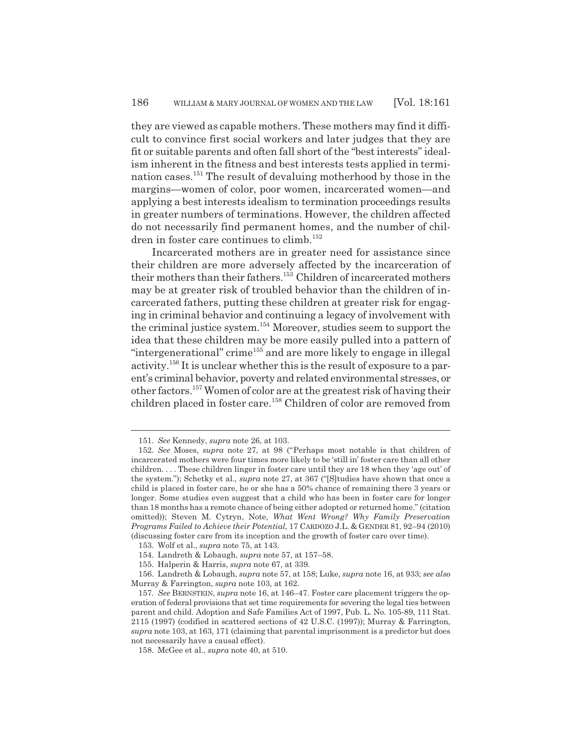they are viewed as capable mothers. These mothers may find it difficult to convince first social workers and later judges that they are fit or suitable parents and often fall short of the "best interests" idealism inherent in the fitness and best interests tests applied in termination cases.151 The result of devaluing motherhood by those in the margins—women of color, poor women, incarcerated women—and applying a best interests idealism to termination proceedings results in greater numbers of terminations. However, the children affected do not necessarily find permanent homes, and the number of children in foster care continues to climb.<sup>152</sup>

Incarcerated mothers are in greater need for assistance since their children are more adversely affected by the incarceration of their mothers than their fathers.<sup>153</sup> Children of incarcerated mothers may be at greater risk of troubled behavior than the children of incarcerated fathers, putting these children at greater risk for engaging in criminal behavior and continuing a legacy of involvement with the criminal justice system.154 Moreover, studies seem to support the idea that these children may be more easily pulled into a pattern of "intergenerational" crime<sup>155</sup> and are more likely to engage in illegal activity.156 It is unclear whether this is the result of exposure to a parent's criminal behavior, poverty and related environmental stresses, or other factors.157 Women of color are at the greatest risk of having their children placed in foster care.<sup>158</sup> Children of color are removed from

<sup>151.</sup> *See* Kennedy, *supra* note 26, at 103.

<sup>152.</sup> *See* Moses, *supra* note 27, at 98 ("Perhaps most notable is that children of incarcerated mothers were four times more likely to be 'still in' foster care than all other children. . . . These children linger in foster care until they are 18 when they 'age out' of the system."); Schetky et al., *supra* note 27, at 367 ("[S]tudies have shown that once a child is placed in foster care, he or she has a 50% chance of remaining there 3 years or longer. Some studies even suggest that a child who has been in foster care for longer than 18 months has a remote chance of being either adopted or returned home." (citation omitted)); Steven M. Cytryn, Note, *What Went Wrong? Why Family Preservation Programs Failed to Achieve their Potential*, 17 CARDOZO J.L. & GENDER 81, 92–94 (2010) (discussing foster care from its inception and the growth of foster care over time).

<sup>153.</sup> Wolf et al., *supra* note 75, at 143.

<sup>154.</sup> Landreth & Lobaugh, *supra* note 57, at 157–58.

<sup>155.</sup> Halperin & Harris, *supra* note 67, at 339.

<sup>156.</sup> Landreth & Lobaugh, *supra* note 57, at 158; Luke, *supra* note 16, at 933; *see also* Murray & Farrington, *supra* note 103, at 162.

<sup>157.</sup> *See* BERNSTEIN, *supra* note 16, at 146–47. Foster care placement triggers the operation of federal provisions that set time requirements for severing the legal ties between parent and child. Adoption and Safe Families Act of 1997, Pub. L. No. 105-89, 111 Stat. 2115 (1997) (codified in scattered sections of 42 U.S.C. (1997)); Murray & Farrington, *supra* note 103, at 163, 171 (claiming that parental imprisonment is a predictor but does not necessarily have a causal effect).

<sup>158.</sup> McGee et al., *supra* note 40, at 510.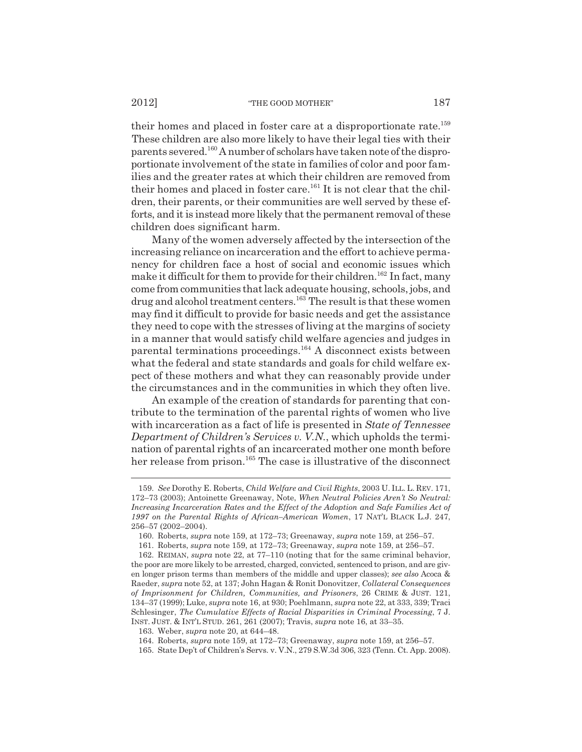their homes and placed in foster care at a disproportionate rate.<sup>159</sup> These children are also more likely to have their legal ties with their parents severed.160 A number of scholars have taken note of the disproportionate involvement of the state in families of color and poor families and the greater rates at which their children are removed from their homes and placed in foster care.<sup>161</sup> It is not clear that the children, their parents, or their communities are well served by these efforts, and it is instead more likely that the permanent removal of these children does significant harm.

Many of the women adversely affected by the intersection of the increasing reliance on incarceration and the effort to achieve permanency for children face a host of social and economic issues which make it difficult for them to provide for their children.<sup>162</sup> In fact, many come from communities that lack adequate housing, schools, jobs, and drug and alcohol treatment centers.<sup>163</sup> The result is that these women may find it difficult to provide for basic needs and get the assistance they need to cope with the stresses of living at the margins of society in a manner that would satisfy child welfare agencies and judges in parental terminations proceedings.164 A disconnect exists between what the federal and state standards and goals for child welfare expect of these mothers and what they can reasonably provide under the circumstances and in the communities in which they often live.

An example of the creation of standards for parenting that contribute to the termination of the parental rights of women who live with incarceration as a fact of life is presented in *State of Tennessee Department of Children's Services v. V.N.*, which upholds the termination of parental rights of an incarcerated mother one month before her release from prison.165 The case is illustrative of the disconnect

<sup>159.</sup> *See* Dorothy E. Roberts, *Child Welfare and Civil Rights*, 2003 U. ILL. L. REV. 171, 172–73 (2003); Antoinette Greenaway, Note, *When Neutral Policies Aren't So Neutral: Increasing Incarceration Rates and the Effect of the Adoption and Safe Families Act of 1997 on the Parental Rights of African–American Women*, 17 NAT'L BLACK L.J. 247, 256–57 (2002–2004).

<sup>160.</sup> Roberts, *supra* note 159, at 172–73; Greenaway, *supra* note 159, at 256–57.

<sup>161.</sup> Roberts, *supra* note 159, at 172–73; Greenaway, *supra* note 159, at 256–57.

<sup>162.</sup> REIMAN, *supra* note 22, at 77–110 (noting that for the same criminal behavior, the poor are more likely to be arrested, charged, convicted, sentenced to prison, and are given longer prison terms than members of the middle and upper classes); *see also* Acoca & Raeder, *supra* note 52, at 137; John Hagan & Ronit Donovitzer, *Collateral Consequences of Imprisonment for Children, Communities, and Prisoners*, 26 CRIME & JUST. 121, 134–37 (1999); Luke, *supra* note 16, at 930; Poehlmann, *supra* note 22, at 333, 339; Traci Schlesinger, *The Cumulative Effects of Racial Disparities in Criminal Processing*, 7 J. INST. JUST. & INT'L STUD. 261, 261 (2007); Travis, *supra* note 16, at 33–35.

<sup>163.</sup> Weber, *supra* note 20, at 644–48.

<sup>164.</sup> Roberts, *supra* note 159, at 172–73; Greenaway, *supra* note 159, at 256–57.

<sup>165.</sup> State Dep't of Children's Servs. v. V.N., 279 S.W.3d 306, 323 (Tenn. Ct. App. 2008).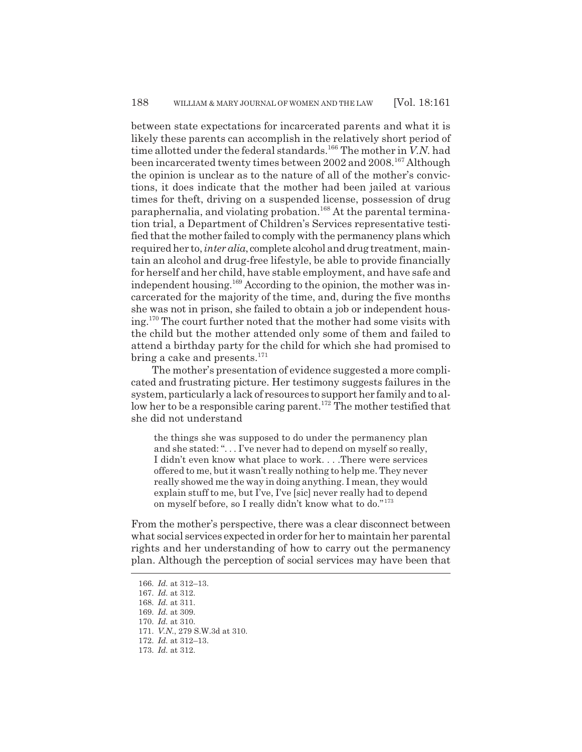between state expectations for incarcerated parents and what it is likely these parents can accomplish in the relatively short period of time allotted under the federal standards.<sup>166</sup> The mother in *V.N.* had been incarcerated twenty times between 2002 and 2008.167 Although the opinion is unclear as to the nature of all of the mother's convictions, it does indicate that the mother had been jailed at various times for theft, driving on a suspended license, possession of drug paraphernalia, and violating probation.<sup>168</sup> At the parental termination trial, a Department of Children's Services representative testified that the mother failed to comply with the permanency plans which required her to, *inter alia*, complete alcohol and drug treatment, maintain an alcohol and drug-free lifestyle, be able to provide financially for herself and her child, have stable employment, and have safe and independent housing.<sup>169</sup> According to the opinion, the mother was incarcerated for the majority of the time, and, during the five months she was not in prison, she failed to obtain a job or independent housing.170 The court further noted that the mother had some visits with the child but the mother attended only some of them and failed to attend a birthday party for the child for which she had promised to bring a cake and presents.<sup>171</sup>

The mother's presentation of evidence suggested a more complicated and frustrating picture. Her testimony suggests failures in the system, particularly a lack of resources to support her family and to allow her to be a responsible caring parent.<sup>172</sup> The mother testified that she did not understand

the things she was supposed to do under the permanency plan and she stated: ". . . I've never had to depend on myself so really, I didn't even know what place to work. . . .There were services offered to me, but it wasn't really nothing to help me. They never really showed me the way in doing anything. I mean, they would explain stuff to me, but I've, I've [sic] never really had to depend on myself before, so I really didn't know what to do."<sup>173</sup>

From the mother's perspective, there was a clear disconnect between what social services expected in order for her to maintain her parental rights and her understanding of how to carry out the permanency plan. Although the perception of social services may have been that

- 168. *Id.* at 311.
- 169. *Id.* at 309.
- 170. *Id.* at 310.
- 171. *V.N.*, 279 S.W.3d at 310.
- 172. *Id.* at 312–13.
- 173. *Id.* at 312.

<sup>166.</sup> *Id.* at 312–13.

<sup>167.</sup> *Id.* at 312.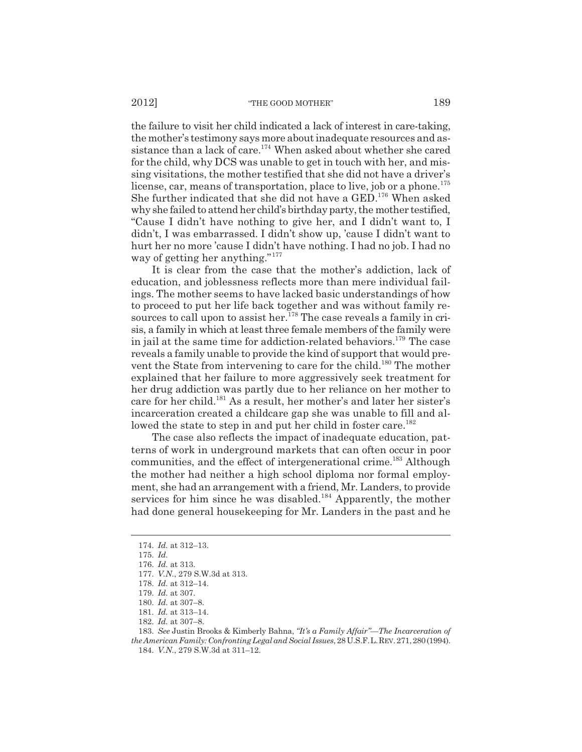the failure to visit her child indicated a lack of interest in care-taking, the mother's testimony says more about inadequate resources and assistance than a lack of care.<sup>174</sup> When asked about whether she cared for the child, why DCS was unable to get in touch with her, and missing visitations, the mother testified that she did not have a driver's license, car, means of transportation, place to live, job or a phone.<sup>175</sup> She further indicated that she did not have a GED.176 When asked why she failed to attend her child's birthday party, the mother testified, "Cause I didn't have nothing to give her, and I didn't want to, I didn't, I was embarrassed. I didn't show up, 'cause I didn't want to hurt her no more 'cause I didn't have nothing. I had no job. I had no way of getting her anything."<sup>177</sup>

It is clear from the case that the mother's addiction, lack of education, and joblessness reflects more than mere individual failings. The mother seems to have lacked basic understandings of how to proceed to put her life back together and was without family resources to call upon to assist her.<sup>178</sup> The case reveals a family in crisis, a family in which at least three female members of the family were in jail at the same time for addiction-related behaviors.<sup>179</sup> The case reveals a family unable to provide the kind of support that would prevent the State from intervening to care for the child.<sup>180</sup> The mother explained that her failure to more aggressively seek treatment for her drug addiction was partly due to her reliance on her mother to care for her child.181 As a result, her mother's and later her sister's incarceration created a childcare gap she was unable to fill and allowed the state to step in and put her child in foster care.<sup>182</sup>

The case also reflects the impact of inadequate education, patterns of work in underground markets that can often occur in poor communities, and the effect of intergenerational crime.<sup>183</sup> Although the mother had neither a high school diploma nor formal employment, she had an arrangement with a friend, Mr. Landers, to provide services for him since he was disabled.<sup>184</sup> Apparently, the mother had done general housekeeping for Mr. Landers in the past and he

<sup>174.</sup> *Id.* at 312–13.

<sup>175.</sup> *Id.*

<sup>176.</sup> *Id.* at 313.

<sup>177.</sup> *V.N.*, 279 S.W.3d at 313.

<sup>178.</sup> *Id.* at 312–14.

<sup>179.</sup> *Id.* at 307.

<sup>180.</sup> *Id.* at 307–8.

<sup>181.</sup> *Id.* at 313–14.

<sup>182.</sup> *Id.* at 307–8.

<sup>183.</sup> *See* Justin Brooks & Kimberly Bahna, *"It's a Family Affair"—The Incarceration of the American Family: Confronting Legal and Social Issues*, 28 U.S.F.L.REV. 271, 280 (1994). 184. *V.N.*, 279 S.W.3d at 311–12.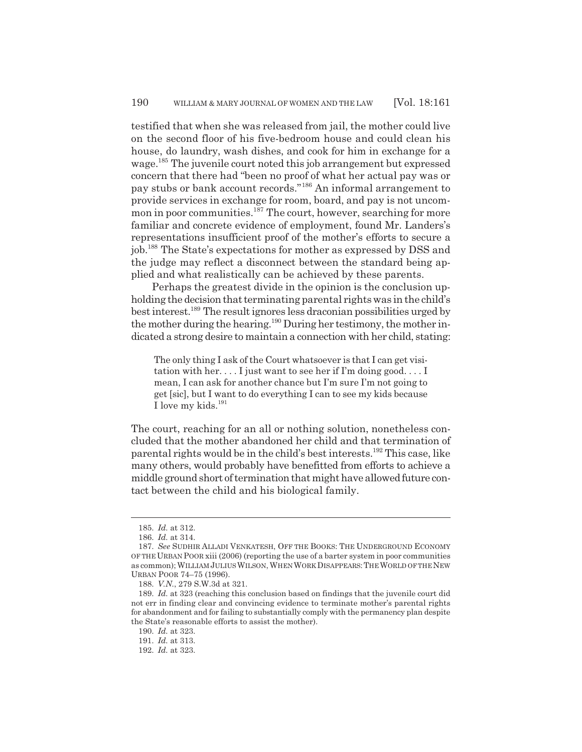testified that when she was released from jail, the mother could live on the second floor of his five-bedroom house and could clean his house, do laundry, wash dishes, and cook for him in exchange for a wage.<sup>185</sup> The juvenile court noted this job arrangement but expressed concern that there had "been no proof of what her actual pay was or pay stubs or bank account records."186 An informal arrangement to provide services in exchange for room, board, and pay is not uncommon in poor communities.<sup>187</sup> The court, however, searching for more familiar and concrete evidence of employment, found Mr. Landers's representations insufficient proof of the mother's efforts to secure a job.188 The State's expectations for mother as expressed by DSS and the judge may reflect a disconnect between the standard being applied and what realistically can be achieved by these parents.

Perhaps the greatest divide in the opinion is the conclusion upholding the decision that terminating parental rights was in the child's best interest.189 The result ignores less draconian possibilities urged by the mother during the hearing.190 During her testimony, the mother indicated a strong desire to maintain a connection with her child, stating:

The only thing I ask of the Court whatsoever is that I can get visitation with her. . . . I just want to see her if I'm doing good. . . . I mean, I can ask for another chance but I'm sure I'm not going to get [sic], but I want to do everything I can to see my kids because I love my kids.<sup>191</sup>

The court, reaching for an all or nothing solution, nonetheless concluded that the mother abandoned her child and that termination of parental rights would be in the child's best interests.192 This case, like many others, would probably have benefitted from efforts to achieve a middle ground short of termination that might have allowed future contact between the child and his biological family.

<sup>185.</sup> *Id.* at 312.

<sup>186.</sup> *Id.* at 314.

<sup>187.</sup> *See* SUDHIR ALLADI VENKATESH, OFF THE BOOKS: THE UNDERGROUND ECONOMY OF THE URBAN POOR xiii (2006) (reporting the use of a barter system in poor communities as common); WILLIAM JULIUS WILSON, WHEN WORK DISAPPEARS:THE WORLD OF THE NEW URBAN POOR 74–75 (1996).

<sup>188.</sup> *V.N.*, 279 S.W.3d at 321.

<sup>189.</sup> *Id.* at 323 (reaching this conclusion based on findings that the juvenile court did not err in finding clear and convincing evidence to terminate mother's parental rights for abandonment and for failing to substantially comply with the permanency plan despite the State's reasonable efforts to assist the mother).

<sup>190.</sup> *Id.* at 323.

<sup>191.</sup> *Id.* at 313.

<sup>192.</sup> *Id.* at 323.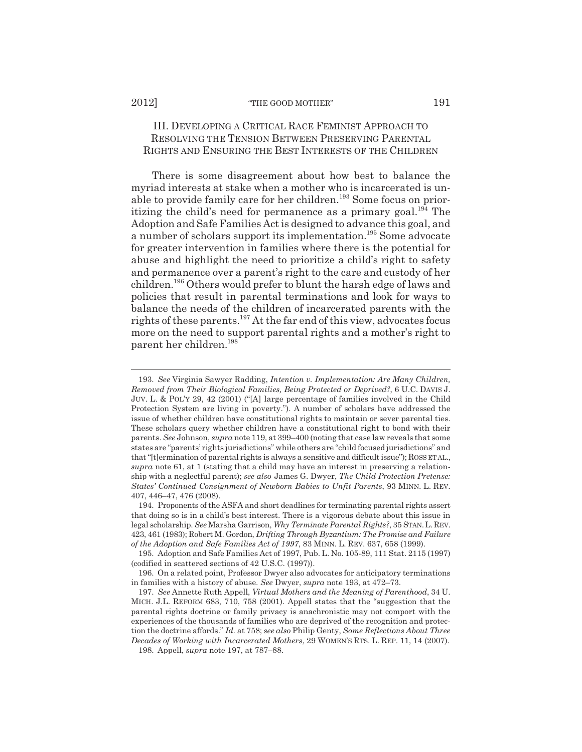# III. DEVELOPING A CRITICAL RACE FEMINIST APPROACH TO RESOLVING THE TENSION BETWEEN PRESERVING PARENTAL RIGHTS AND ENSURING THE BEST INTERESTS OF THE CHILDREN

There is some disagreement about how best to balance the myriad interests at stake when a mother who is incarcerated is unable to provide family care for her children.193 Some focus on prioritizing the child's need for permanence as a primary goal.<sup>194</sup> The Adoption and Safe Families Act is designed to advance this goal, and a number of scholars support its implementation.195 Some advocate for greater intervention in families where there is the potential for abuse and highlight the need to prioritize a child's right to safety and permanence over a parent's right to the care and custody of her children.196 Others would prefer to blunt the harsh edge of laws and policies that result in parental terminations and look for ways to balance the needs of the children of incarcerated parents with the rights of these parents.197 At the far end of this view, advocates focus more on the need to support parental rights and a mother's right to parent her children.198

<sup>193.</sup> *See* Virginia Sawyer Radding, *Intention v. Implementation: Are Many Children, Removed from Their Biological Families, Being Protected or Deprived?*, 6 U.C. DAVIS J. JUV. L. & POL'Y 29, 42 (2001) ("[A] large percentage of families involved in the Child Protection System are living in poverty."). A number of scholars have addressed the issue of whether children have constitutional rights to maintain or sever parental ties. These scholars query whether children have a constitutional right to bond with their parents. *See* Johnson, *supra* note 119, at 399–400 (noting that case law reveals that some states are "parents' rights jurisdictions" while others are "child focused jurisdictions" and that "[t]ermination of parental rights is always a sensitive and difficult issue"); ROSS ET AL., *supra* note 61, at 1 (stating that a child may have an interest in preserving a relationship with a neglectful parent); *see also* James G. Dwyer, *The Child Protection Pretense: States' Continued Consignment of Newborn Babies to Unfit Parents*, 93 MINN. L. REV. 407, 446–47, 476 (2008).

<sup>194.</sup> Proponents of the ASFA and short deadlines for terminating parental rights assert that doing so is in a child's best interest. There is a vigorous debate about this issue in legal scholarship. *See* Marsha Garrison, *Why Terminate Parental Rights?*, 35 STAN.L.REV. 423, 461 (1983); Robert M. Gordon, *Drifting Through Byzantium: The Promise and Failure of the Adoption and Safe Families Act of 1997*, 83 MINN. L. REV. 637, 658 (1999).

<sup>195.</sup> Adoption and Safe Families Act of 1997, Pub. L. No. 105-89, 111 Stat. 2115 (1997) (codified in scattered sections of 42 U.S.C. (1997)).

<sup>196.</sup> On a related point, Professor Dwyer also advocates for anticipatory terminations in families with a history of abuse. *See* Dwyer, *supra* note 193, at 472–73.

<sup>197.</sup> *See* Annette Ruth Appell, *Virtual Mothers and the Meaning of Parenthood*, 34 U. MICH. J.L. REFORM 683, 710, 758 (2001). Appell states that the "suggestion that the parental rights doctrine or family privacy is anachronistic may not comport with the experiences of the thousands of families who are deprived of the recognition and protection the doctrine affords." *Id.* at 758; *see also* Philip Genty, *Some Reflections About Three Decades of Working with Incarcerated Mothers*, 29 WOMEN'S RTS. L. REP. 11, 14 (2007).

<sup>198.</sup> Appell, *supra* note 197, at 787–88.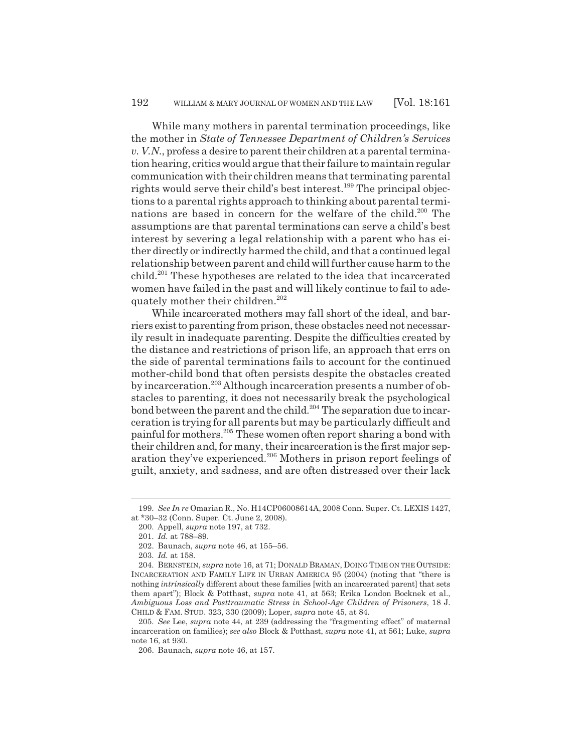While many mothers in parental termination proceedings, like the mother in *State of Tennessee Department of Children's Services v. V.N.*, profess a desire to parent their children at a parental termination hearing, critics would argue that their failure to maintain regular communication with their children means that terminating parental rights would serve their child's best interest.<sup>199</sup> The principal objections to a parental rights approach to thinking about parental terminations are based in concern for the welfare of the child.<sup>200</sup> The assumptions are that parental terminations can serve a child's best interest by severing a legal relationship with a parent who has either directly or indirectly harmed the child, and that a continued legal relationship between parent and child will further cause harm to the child.201 These hypotheses are related to the idea that incarcerated women have failed in the past and will likely continue to fail to adequately mother their children.<sup>202</sup>

While incarcerated mothers may fall short of the ideal, and barriers exist to parenting from prison, these obstacles need not necessarily result in inadequate parenting. Despite the difficulties created by the distance and restrictions of prison life, an approach that errs on the side of parental terminations fails to account for the continued mother-child bond that often persists despite the obstacles created by incarceration.<sup>203</sup> Although incarceration presents a number of obstacles to parenting, it does not necessarily break the psychological bond between the parent and the child.<sup>204</sup> The separation due to incarceration is trying for all parents but may be particularly difficult and painful for mothers.205 These women often report sharing a bond with their children and, for many, their incarceration is the first major separation they've experienced.<sup>206</sup> Mothers in prison report feelings of guilt, anxiety, and sadness, and are often distressed over their lack

<sup>199.</sup> *See In re* Omarian R., No. H14CP06008614A, 2008 Conn. Super. Ct. LEXIS 1427, at \*30–32 (Conn. Super. Ct. June 2, 2008).

<sup>200.</sup> Appell, *supra* note 197, at 732.

<sup>201.</sup> *Id.* at 788–89.

<sup>202.</sup> Baunach, *supra* note 46, at 155–56.

<sup>203.</sup> *Id.* at 158.

<sup>204.</sup> BERNSTEIN, *supra* note 16, at 71; DONALD BRAMAN, DOING TIME ON THE OUTSIDE: INCARCERATION AND FAMILY LIFE IN URBAN AMERICA 95 (2004) (noting that "there is nothing *intrinsically* different about these families [with an incarcerated parent] that sets them apart"); Block & Potthast, *supra* note 41, at 563; Erika London Bocknek et al., *Ambiguous Loss and Posttraumatic Stress in School-Age Children of Prisoners*, 18 J. CHILD & FAM. STUD. 323, 330 (2009); Loper, *supra* note 45, at 84.

<sup>205.</sup> *See* Lee, *supra* note 44, at 239 (addressing the "fragmenting effect" of maternal incarceration on families); *see also* Block & Potthast, *supra* note 41, at 561; Luke, *supra* note 16, at 930.

<sup>206.</sup> Baunach, *supra* note 46, at 157.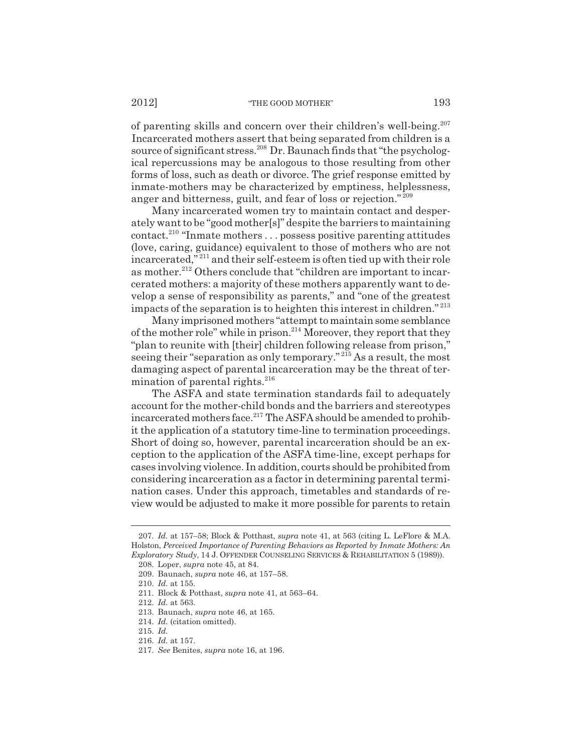of parenting skills and concern over their children's well-being.<sup>207</sup> Incarcerated mothers assert that being separated from children is a source of significant stress.<sup>208</sup> Dr. Baunach finds that "the psychological repercussions may be analogous to those resulting from other forms of loss, such as death or divorce. The grief response emitted by inmate-mothers may be characterized by emptiness, helplessness, anger and bitterness, guilt, and fear of loss or rejection." <sup>209</sup>

Many incarcerated women try to maintain contact and desperately want to be "good mother[s]" despite the barriers to maintaining contact.210 "Inmate mothers . . . possess positive parenting attitudes (love, caring, guidance) equivalent to those of mothers who are not incarcerated," 211 and their self-esteem is often tied up with their role as mother.<sup>212</sup> Others conclude that "children are important to incarcerated mothers: a majority of these mothers apparently want to develop a sense of responsibility as parents," and "one of the greatest impacts of the separation is to heighten this interest in children." <sup>213</sup>

Many imprisoned mothers "attempt to maintain some semblance of the mother role" while in prison.214 Moreover, they report that they "plan to reunite with [their] children following release from prison," seeing their "separation as only temporary."<sup>215</sup> As a result, the most damaging aspect of parental incarceration may be the threat of termination of parental rights. $216$ 

The ASFA and state termination standards fail to adequately account for the mother-child bonds and the barriers and stereotypes incarcerated mothers face.<sup>217</sup> The ASFA should be amended to prohibit the application of a statutory time-line to termination proceedings. Short of doing so, however, parental incarceration should be an exception to the application of the ASFA time-line, except perhaps for cases involving violence. In addition, courts should be prohibited from considering incarceration as a factor in determining parental termination cases. Under this approach, timetables and standards of review would be adjusted to make it more possible for parents to retain

216. *Id.* at 157.

<sup>207.</sup> *Id.* at 157–58; Block & Potthast, *supra* note 41, at 563 (citing L. LeFlore & M.A. Holston, *Perceived Importance of Parenting Behaviors as Reported by Inmate Mothers: An Exploratory Study*, 14 J. OFFENDER COUNSELING SERVICES & REHABILITATION 5 (1989)).

<sup>208.</sup> Loper, *supra* note 45, at 84.

<sup>209.</sup> Baunach, *supra* note 46, at 157–58.

<sup>210.</sup> *Id.* at 155.

<sup>211.</sup> Block & Potthast, *supra* note 41, at 563–64.

<sup>212.</sup> *Id.* at 563.

<sup>213.</sup> Baunach, *supra* note 46, at 165.

<sup>214.</sup> *Id.* (citation omitted).

<sup>215.</sup> *Id.*

<sup>217.</sup> *See* Benites, *supra* note 16, at 196.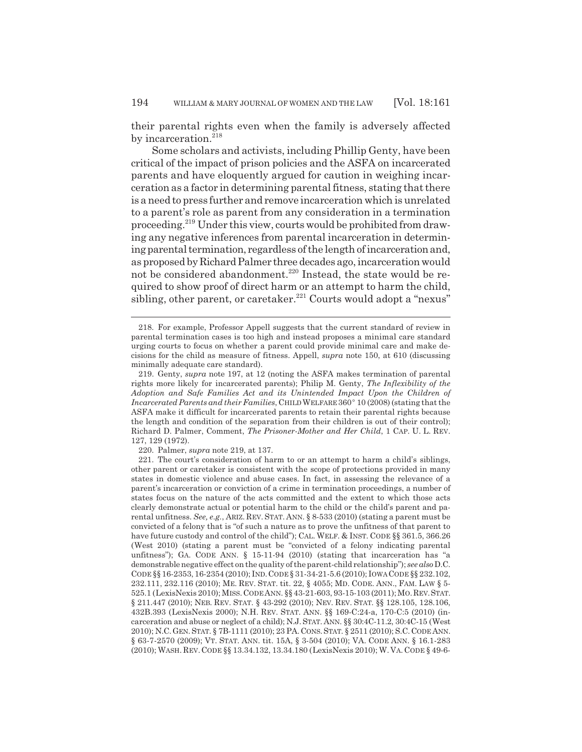their parental rights even when the family is adversely affected by incarceration. $^{218}$ 

Some scholars and activists, including Phillip Genty, have been critical of the impact of prison policies and the ASFA on incarcerated parents and have eloquently argued for caution in weighing incarceration as a factor in determining parental fitness, stating that there is a need to press further and remove incarceration which is unrelated to a parent's role as parent from any consideration in a termination proceeding.219 Under this view, courts would be prohibited from drawing any negative inferences from parental incarceration in determining parental termination, regardless of the length of incarceration and, as proposed by Richard Palmer three decades ago, incarceration would not be considered abandonment.<sup>220</sup> Instead, the state would be required to show proof of direct harm or an attempt to harm the child, sibling, other parent, or caretaker.<sup>221</sup> Courts would adopt a "nexus"

220. Palmer, *supra* note 219, at 137.

<sup>218.</sup> For example, Professor Appell suggests that the current standard of review in parental termination cases is too high and instead proposes a minimal care standard urging courts to focus on whether a parent could provide minimal care and make decisions for the child as measure of fitness. Appell, *supra* note 150, at 610 (discussing minimally adequate care standard).

<sup>219.</sup> Genty, *supra* note 197, at 12 (noting the ASFA makes termination of parental rights more likely for incarcerated parents); Philip M. Genty, *The Inflexibility of the Adoption and Safe Families Act and its Unintended Impact Upon the Children of* Incarcerated Parents and their Families, CHILD WELFARE 360° 10 (2008) (stating that the ASFA make it difficult for incarcerated parents to retain their parental rights because the length and condition of the separation from their children is out of their control); Richard D. Palmer, Comment, *The Prisoner-Mother and Her Child*, 1 CAP. U. L. REV. 127, 129 (1972).

<sup>221.</sup> The court's consideration of harm to or an attempt to harm a child's siblings, other parent or caretaker is consistent with the scope of protections provided in many states in domestic violence and abuse cases. In fact, in assessing the relevance of a parent's incarceration or conviction of a crime in termination proceedings, a number of states focus on the nature of the acts committed and the extent to which those acts clearly demonstrate actual or potential harm to the child or the child's parent and parental unfitness. *See, e.g.*, ARIZ. REV. STAT. ANN. § 8-533 (2010) (stating a parent must be convicted of a felony that is "of such a nature as to prove the unfitness of that parent to have future custody and control of the child"); CAL. WELF. & INST. CODE §§ 361.5, 366.26 (West 2010) (stating a parent must be "convicted of a felony indicating parental unfitness"); GA. CODE ANN. § 15-11-94 (2010) (stating that incarceration has "a demonstrable negative effect on the quality of the parent-child relationship"); *see also* D.C. CODE §§ 16-2353, 16-2354 (2010); IND.CODE § 31-34-21-5.6 (2010); IOWA CODE §§ 232.102, 232.111, 232.116 (2010); ME. REV. STAT. tit. 22, § 4055; MD. CODE. ANN., FAM. LAW § 5- 525.1 (LexisNexis 2010); MISS.CODE ANN. §§ 43-21-603, 93-15-103 (2011); MO.REV.STAT. § 211.447 (2010); NEB. REV. STAT. § 43-292 (2010); NEV. REV. STAT. §§ 128.105, 128.106, 432B.393 (LexisNexis 2000); N.H. REV. STAT. ANN. §§ 169-C:24-a, 170-C:5 (2010) (incarceration and abuse or neglect of a child); N.J.STAT. ANN. §§ 30:4C-11.2, 30:4C-15 (West 2010); N.C.GEN.STAT. § 7B-1111 (2010); 23 PA.CONS.STAT. § 2511 (2010); S.C.CODE ANN. § 63-7-2570 (2009); VT. STAT. ANN. tit. 15A, § 3-504 (2010); VA. CODE ANN. § 16.1-283 (2010); WASH. REV.CODE §§ 13.34.132, 13.34.180 (LexisNexis 2010); W. VA. CODE § 49-6-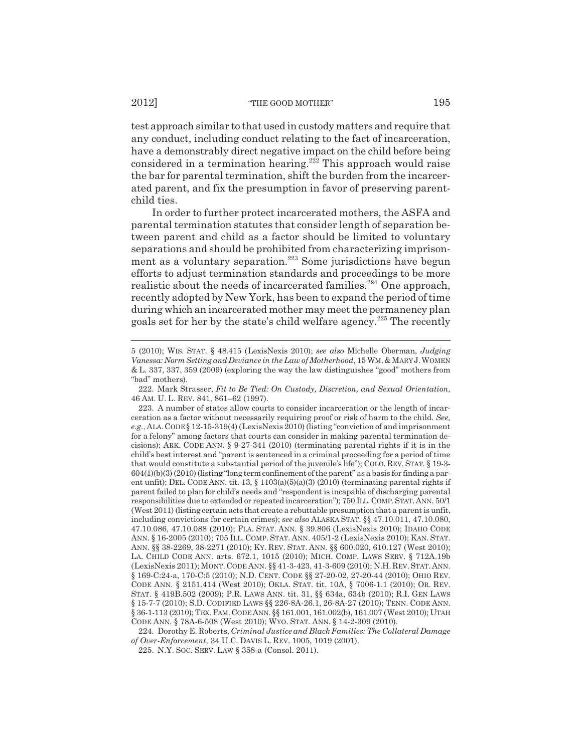test approach similar to that used in custody matters and require that any conduct, including conduct relating to the fact of incarceration, have a demonstrably direct negative impact on the child before being considered in a termination hearing.<sup>222</sup> This approach would raise the bar for parental termination, shift the burden from the incarcerated parent, and fix the presumption in favor of preserving parentchild ties.

In order to further protect incarcerated mothers, the ASFA and parental termination statutes that consider length of separation between parent and child as a factor should be limited to voluntary separations and should be prohibited from characterizing imprisonment as a voluntary separation.<sup>223</sup> Some jurisdictions have begun efforts to adjust termination standards and proceedings to be more realistic about the needs of incarcerated families.<sup>224</sup> One approach, recently adopted by New York, has been to expand the period of time during which an incarcerated mother may meet the permanency plan goals set for her by the state's child welfare agency.225 The recently

<sup>5 (2010);</sup> WIS. STAT. § 48.415 (LexisNexis 2010); *see also* Michelle Oberman, *Judging Vanessa: Norm Setting and Deviance in the Law of Motherhood*, 15 WM.&MARY J.WOMEN & L. 337, 337, 359 (2009) (exploring the way the law distinguishes "good" mothers from "bad" mothers).

<sup>222.</sup> Mark Strasser, *Fit to Be Tied: On Custody, Discretion, and Sexual Orientation*, 46 AM. U. L. REV. 841, 861–62 (1997).

<sup>223.</sup> A number of states allow courts to consider incarceration or the length of incarceration as a factor without necessarily requiring proof or risk of harm to the child. *See, e.g.*, ALA.CODE § 12-15-319(4) (LexisNexis 2010) (listing "conviction of and imprisonment for a felony" among factors that courts can consider in making parental termination decisions); ARK. CODE ANN. § 9-27-341 (2010) (terminating parental rights if it is in the child's best interest and "parent is sentenced in a criminal proceeding for a period of time that would constitute a substantial period of the juvenile's life"); COLO. REV. STAT. § 19-3-  $604(1)(b)(3)(2010)$  (listing "long term confinement of the parent" as a basis for finding a parent unfit); DEL. CODE ANN. tit. 13, § 1103(a)(5)(a)(3) (2010) (terminating parental rights if parent failed to plan for child's needs and "respondent is incapable of discharging parental responsibilities due to extended or repeated incarceration"); 750 ILL.COMP.STAT.ANN. 50/1 (West 2011) (listing certain acts that create a rebuttable presumption that a parent is unfit, including convictions for certain crimes); *see also* ALASKA STAT. §§ 47.10.011, 47.10.080, 47.10.086, 47.10.088 (2010); FLA. STAT. ANN. § 39.806 (LexisNexis 2010); IDAHO CODE ANN. § 16-2005 (2010); 705 ILL. COMP. STAT. ANN. 405/1-2 (LexisNexis 2010); KAN. STAT. ANN. §§ 38-2269, 38-2271 (2010); KY. REV. STAT. ANN. §§ 600.020, 610.127 (West 2010); LA. CHILD CODE ANN. arts. 672.1, 1015 (2010); MICH. COMP. LAWS SERV. § 712A.19b (LexisNexis 2011); MONT. CODE ANN. §§ 41-3-423, 41-3-609 (2010); N.H.REV.STAT.ANN. § 169-C:24-a, 170-C:5 (2010); N.D. CENT. CODE §§ 27-20-02, 27-20-44 (2010); OHIO REV. CODE ANN. § 2151.414 (West 2010); OKLA. STAT. tit. 10A, § 7006-1.1 (2010); OR. REV. STAT. § 419B.502 (2009); P.R. LAWS ANN. tit. 31, §§ 634a, 634b (2010); R.I. GEN LAWS § 15-7-7 (2010); S.D. CODIFIED LAWS §§ 226-8A-26.1, 26-8A-27 (2010); TENN. CODE ANN. § 36-1-113 (2010); TEX.FAM.CODE ANN. §§ 161.001, 161.002(b), 161.007 (West 2010); UTAH CODE ANN. § 78A-6-508 (West 2010); WYO. STAT. ANN. § 14-2-309 (2010).

<sup>224.</sup> Dorothy E. Roberts, *Criminal Justice and Black Families: The Collateral Damage of Over-Enforcement*, 34 U.C. DAVIS L. REV. 1005, 1019 (2001).

<sup>225.</sup> N.Y. SOC. SERV. LAW § 358-a (Consol. 2011).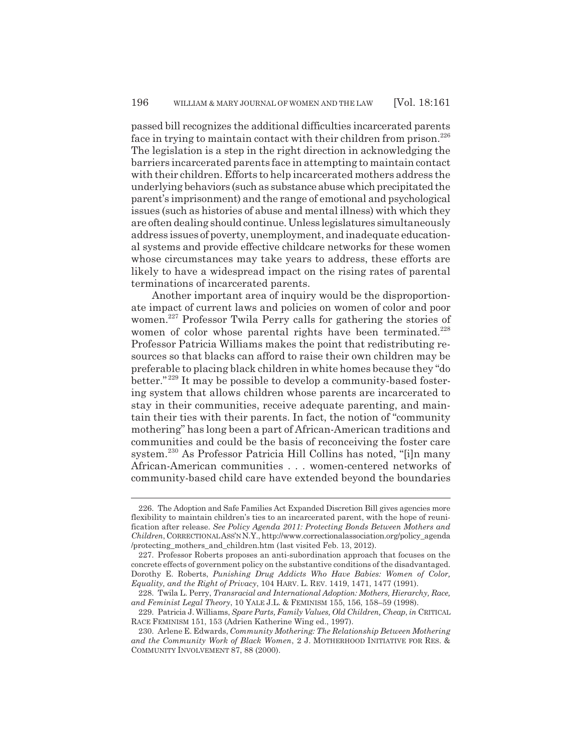passed bill recognizes the additional difficulties incarcerated parents face in trying to maintain contact with their children from prison. $^{226}$ The legislation is a step in the right direction in acknowledging the barriers incarcerated parents face in attempting to maintain contact with their children. Efforts to help incarcerated mothers address the underlying behaviors (such as substance abuse which precipitated the parent's imprisonment) and the range of emotional and psychological issues (such as histories of abuse and mental illness) with which they are often dealing should continue. Unless legislatures simultaneously address issues of poverty, unemployment, and inadequate educational systems and provide effective childcare networks for these women whose circumstances may take years to address, these efforts are likely to have a widespread impact on the rising rates of parental terminations of incarcerated parents.

Another important area of inquiry would be the disproportionate impact of current laws and policies on women of color and poor women.<sup>227</sup> Professor Twila Perry calls for gathering the stories of women of color whose parental rights have been terminated.<sup>228</sup> Professor Patricia Williams makes the point that redistributing resources so that blacks can afford to raise their own children may be preferable to placing black children in white homes because they "do better."<sup>229</sup> It may be possible to develop a community-based fostering system that allows children whose parents are incarcerated to stay in their communities, receive adequate parenting, and maintain their ties with their parents. In fact, the notion of "community mothering" has long been a part of African-American traditions and communities and could be the basis of reconceiving the foster care system.230 As Professor Patricia Hill Collins has noted, "[i]n many African-American communities . . . women-centered networks of community-based child care have extended beyond the boundaries

<sup>226.</sup> The Adoption and Safe Families Act Expanded Discretion Bill gives agencies more flexibility to maintain children's ties to an incarcerated parent, with the hope of reunification after release. *See Policy Agenda 2011: Protecting Bonds Between Mothers and Children*, CORRECTIONAL ASS'N N.Y., http://www.correctionalassociation.org/policy\_agenda /protecting\_mothers\_and\_children.htm (last visited Feb. 13, 2012).

<sup>227.</sup> Professor Roberts proposes an anti-subordination approach that focuses on the concrete effects of government policy on the substantive conditions of the disadvantaged. Dorothy E. Roberts, *Punishing Drug Addicts Who Have Babies: Women of Color, Equality, and the Right of Privacy*, 104 HARV. L. REV. 1419, 1471, 1477 (1991).

<sup>228.</sup> Twila L. Perry, *Transracial and International Adoption: Mothers, Hierarchy, Race, and Feminist Legal Theory*, 10 YALE J.L. & FEMINISM 155, 156, 158–59 (1998).

<sup>229.</sup> Patricia J. Williams, *Spare Parts, Family Values, Old Children, Cheap*, *in* CRITICAL RACE FEMINISM 151, 153 (Adrien Katherine Wing ed., 1997).

<sup>230.</sup> Arlene E. Edwards, *Community Mothering: The Relationship Between Mothering and the Community Work of Black Women*, 2 J. MOTHERHOOD INITIATIVE FOR RES. & COMMUNITY INVOLVEMENT 87, 88 (2000).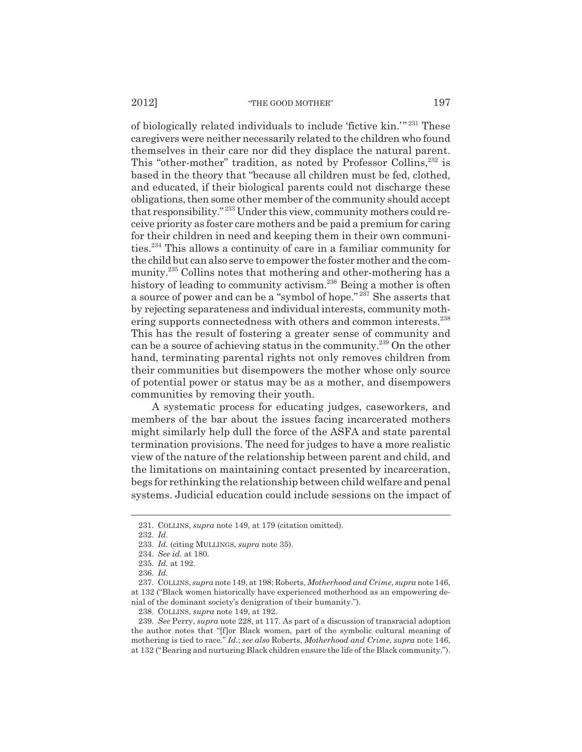of biologically related individuals to include 'fictive kin.'" 231 These caregivers were neither necessarily related to the children who found themselves in their care nor did they displace the natural parent. This "other-mother" tradition, as noted by Professor Collins,<sup>232</sup> is based in the theory that "because all children must be fed, clothed, and educated, if their biological parents could not discharge these obligations, then some other member of the community should accept that responsibility." 233 Under this view, community mothers could receive priority as foster care mothers and be paid a premium for caring for their children in need and keeping them in their own communities.234 This allows a continuity of care in a familiar community for the child but can also serve to empower the foster mother and the community.235 Collins notes that mothering and other-mothering has a history of leading to community activism.<sup>236</sup> Being a mother is often a source of power and can be a "symbol of hope." 237 She asserts that by rejecting separateness and individual interests, community mothering supports connectedness with others and common interests.<sup>238</sup> This has the result of fostering a greater sense of community and can be a source of achieving status in the community.239 On the other hand, terminating parental rights not only removes children from their communities but disempowers the mother whose only source of potential power or status may be as a mother, and disempowers communities by removing their youth.

A systematic process for educating judges, caseworkers, and members of the bar about the issues facing incarcerated mothers might similarly help dull the force of the ASFA and state parental termination provisions. The need for judges to have a more realistic view of the nature of the relationship between parent and child, and the limitations on maintaining contact presented by incarceration, begs for rethinking the relationship between child welfare and penal systems. Judicial education could include sessions on the impact of

<sup>231.</sup> COLLINS, *supra* note 149, at 179 (citation omitted).

<sup>232.</sup> *Id.*

<sup>233.</sup> *Id.* (citing MULLINGS, *supra* note 35).

<sup>234.</sup> *See id.* at 180.

<sup>235.</sup> *Id.* at 192.

<sup>236.</sup> *Id.*

<sup>237.</sup> COLLINS, *supra* note 149, at 198; Roberts, *Motherhood and Crime*, *supra* note 146, at 132 ("Black women historically have experienced motherhood as an empowering denial of the dominant society's denigration of their humanity.").

<sup>238.</sup> COLLINS, *supra* note 149, at 192.

<sup>239.</sup> *See* Perry, *supra* note 228, at 117. As part of a discussion of transracial adoption the author notes that "[f]or Black women, part of the symbolic cultural meaning of mothering is tied to race." *Id.*; *see also* Roberts, *Motherhood and Crime*, *supra* note 146, at 132 ("Bearing and nurturing Black children ensure the life of the Black community.").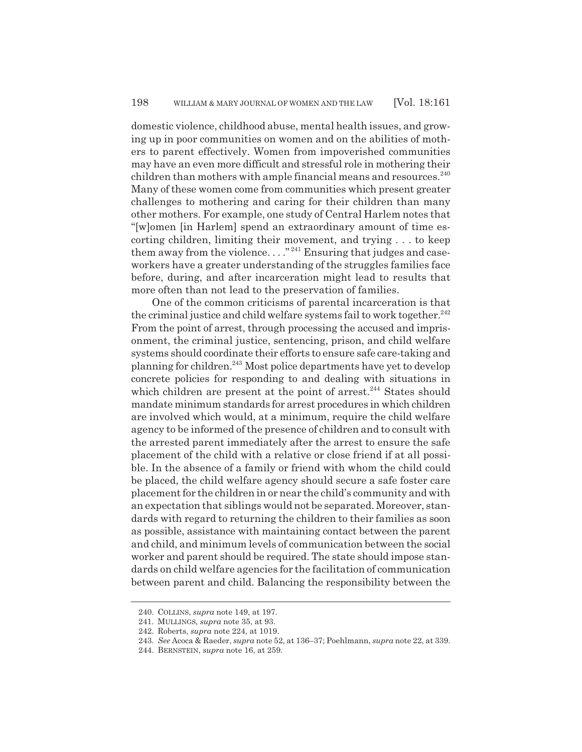domestic violence, childhood abuse, mental health issues, and growing up in poor communities on women and on the abilities of mothers to parent effectively. Women from impoverished communities may have an even more difficult and stressful role in mothering their children than mothers with ample financial means and resources. $240$ Many of these women come from communities which present greater challenges to mothering and caring for their children than many other mothers. For example, one study of Central Harlem notes that "[w]omen [in Harlem] spend an extraordinary amount of time escorting children, limiting their movement, and trying . . . to keep them away from the violence...."<sup>241</sup> Ensuring that judges and caseworkers have a greater understanding of the struggles families face before, during, and after incarceration might lead to results that more often than not lead to the preservation of families.

One of the common criticisms of parental incarceration is that the criminal justice and child welfare systems fail to work together. $242$ From the point of arrest, through processing the accused and imprisonment, the criminal justice, sentencing, prison, and child welfare systems should coordinate their efforts to ensure safe care-taking and planning for children.243 Most police departments have yet to develop concrete policies for responding to and dealing with situations in which children are present at the point of arrest.<sup>244</sup> States should mandate minimum standards for arrest procedures in which children are involved which would, at a minimum, require the child welfare agency to be informed of the presence of children and to consult with the arrested parent immediately after the arrest to ensure the safe placement of the child with a relative or close friend if at all possible. In the absence of a family or friend with whom the child could be placed, the child welfare agency should secure a safe foster care placement for the children in or near the child's community and with an expectation that siblings would not be separated. Moreover, standards with regard to returning the children to their families as soon as possible, assistance with maintaining contact between the parent and child, and minimum levels of communication between the social worker and parent should be required. The state should impose standards on child welfare agencies for the facilitation of communication between parent and child. Balancing the responsibility between the

<sup>240.</sup> COLLINS, *supra* note 149, at 197.

<sup>241.</sup> MULLINGS, *supra* note 35, at 93.

<sup>242.</sup> Roberts, *supra* note 224, at 1019.

<sup>243.</sup> *See* Acoca & Raeder, *supra* note 52, at 136–37; Poehlmann, *supra* note 22, at 339.

<sup>244.</sup> BERNSTEIN, *supra* note 16, at 259.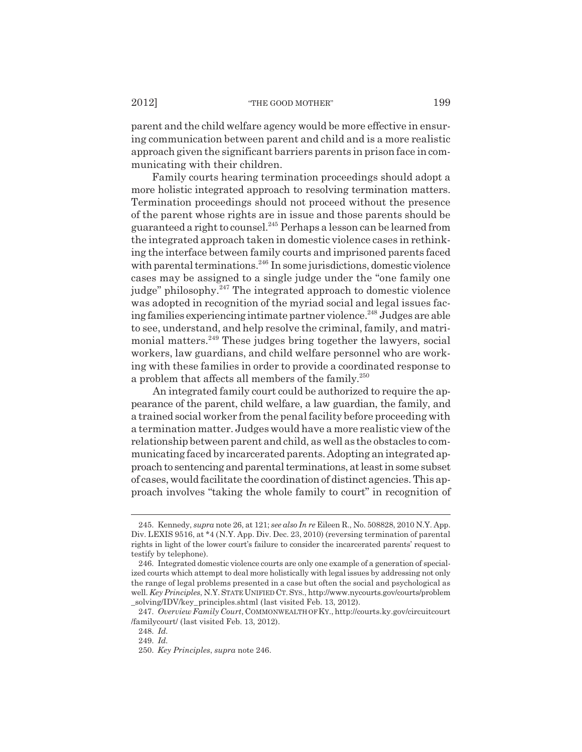parent and the child welfare agency would be more effective in ensuring communication between parent and child and is a more realistic approach given the significant barriers parents in prison face in communicating with their children.

Family courts hearing termination proceedings should adopt a more holistic integrated approach to resolving termination matters. Termination proceedings should not proceed without the presence of the parent whose rights are in issue and those parents should be guaranteed a right to counsel.245 Perhaps a lesson can be learned from the integrated approach taken in domestic violence cases in rethinking the interface between family courts and imprisoned parents faced with parental terminations.<sup>246</sup> In some jurisdictions, domestic violence cases may be assigned to a single judge under the "one family one judge" philosophy.<sup>247</sup> The integrated approach to domestic violence was adopted in recognition of the myriad social and legal issues facing families experiencing intimate partner violence.<sup>248</sup> Judges are able to see, understand, and help resolve the criminal, family, and matrimonial matters.<sup>249</sup> These judges bring together the lawyers, social workers, law guardians, and child welfare personnel who are working with these families in order to provide a coordinated response to a problem that affects all members of the family.<sup>250</sup>

An integrated family court could be authorized to require the appearance of the parent, child welfare, a law guardian, the family, and a trained social worker from the penal facility before proceeding with a termination matter. Judges would have a more realistic view of the relationship between parent and child, as well as the obstacles to communicating faced by incarcerated parents. Adopting an integrated approach to sentencing and parental terminations, at least in some subset of cases, would facilitate the coordination of distinct agencies. This approach involves "taking the whole family to court" in recognition of

<sup>245.</sup> Kennedy, *supra* note 26, at 121; *see also In re* Eileen R., No. 508828, 2010 N.Y. App. Div. LEXIS 9516, at \*4 (N.Y. App. Div. Dec. 23, 2010) (reversing termination of parental rights in light of the lower court's failure to consider the incarcerated parents' request to testify by telephone).

<sup>246.</sup> Integrated domestic violence courts are only one example of a generation of specialized courts which attempt to deal more holistically with legal issues by addressing not only the range of legal problems presented in a case but often the social and psychological as well. *Key Principles*, N.Y.STATE UNIFIED CT.SYS., http://www.nycourts.gov/courts/problem \_solving/IDV/key\_principles.shtml (last visited Feb. 13, 2012).

<sup>247.</sup> *Overview Family Court*, COMMONWEALTH OF KY., http://courts.ky.gov/circuitcourt /familycourt/ (last visited Feb. 13, 2012).

<sup>248.</sup> *Id.* 249. *Id.*

<sup>250.</sup> *Key Principles*, *supra* note 246.